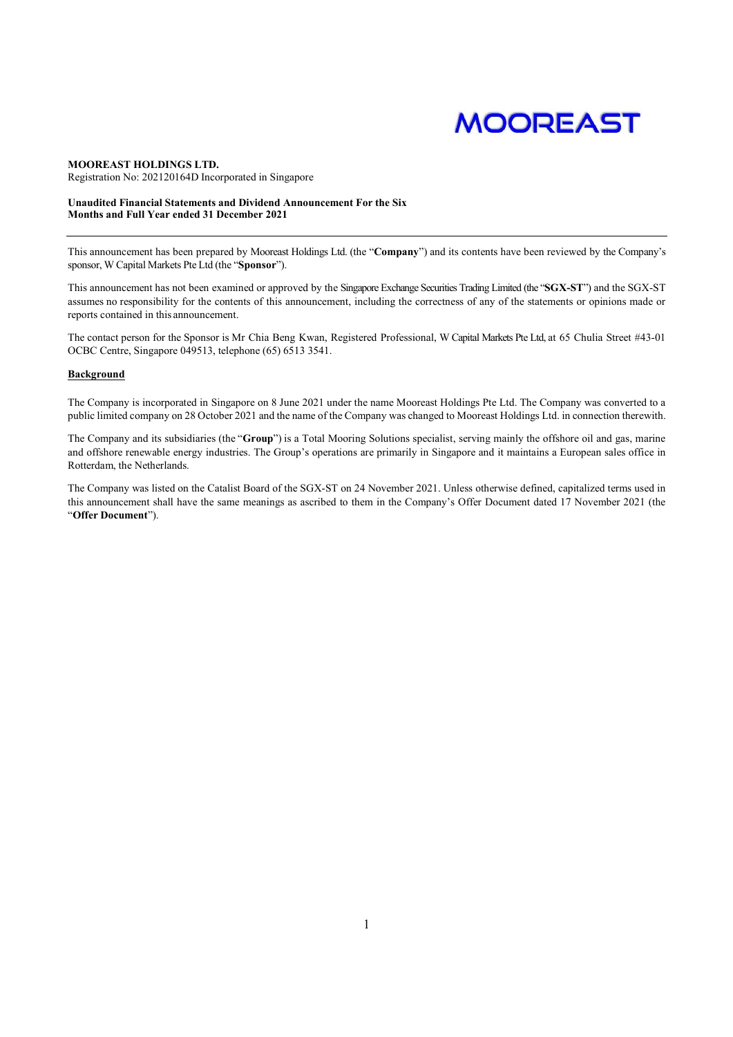# **MOOREAST**

#### MOOREAST HOLDINGS LTD. Registration No: 202120164D Incorporated in Singapore

### Unaudited Financial Statements and Dividend Announcement For the Six Months and Full Year ended 31 December 2021

This announcement has been prepared by Mooreast Holdings Ltd. (the "Company") and its contents have been reviewed by the Company's sponsor, W Capital Markets Pte Ltd (the "Sponsor").

This announcement has not been examined or approved by the Singapore Exchange Securities Trading Limited (the "SGX-ST") and the SGX-ST assumes no responsibility for the contents of this announcement, including the correctness of any of the statements or opinions made or reports contained in this announcement.

The contact person for the Sponsor is Mr Chia Beng Kwan, Registered Professional, W Capital Markets Pte Ltd, at 65 Chulia Street #43-01 OCBC Centre, Singapore 049513, telephone (65) 6513 3541.

# **Background**

The Company is incorporated in Singapore on 8 June 2021 under the name Mooreast Holdings Pte Ltd. The Company was converted to a public limited company on 28 October 2021 and the name of the Company was changed to Mooreast Holdings Ltd. in connection therewith.

The Company and its subsidiaries (the "Group") is a Total Mooring Solutions specialist, serving mainly the offshore oil and gas, marine and offshore renewable energy industries. The Group's operations are primarily in Singapore and it maintains a European sales office in Rotterdam, the Netherlands.

The Company was listed on the Catalist Board of the SGX-ST on 24 November 2021. Unless otherwise defined, capitalized terms used in this announcement shall have the same meanings as ascribed to them in the Company's Offer Document dated 17 November 2021 (the "Offer Document").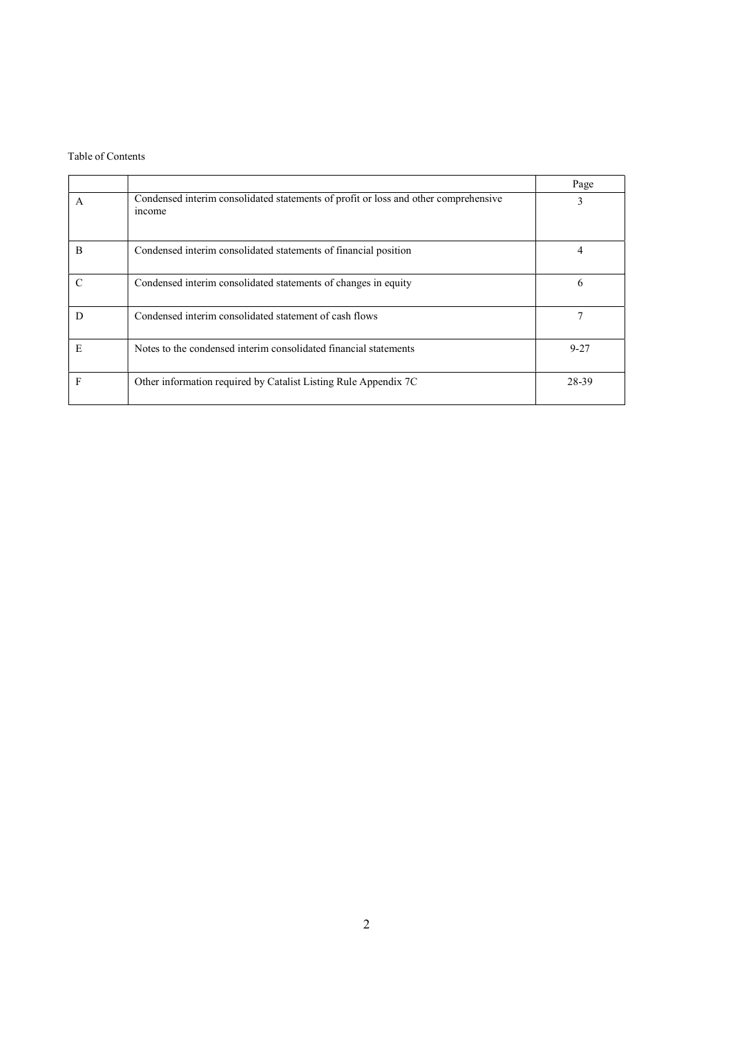# Table of Contents

|   |                                                                                               | Page     |
|---|-----------------------------------------------------------------------------------------------|----------|
| A | Condensed interim consolidated statements of profit or loss and other comprehensive<br>income | 3        |
| В | Condensed interim consolidated statements of financial position                               |          |
| C | Condensed interim consolidated statements of changes in equity                                | 6        |
| D | Condensed interim consolidated statement of cash flows                                        |          |
| E | Notes to the condensed interim consolidated financial statements                              | $9 - 27$ |
| F | Other information required by Catalist Listing Rule Appendix 7C                               | 28-39    |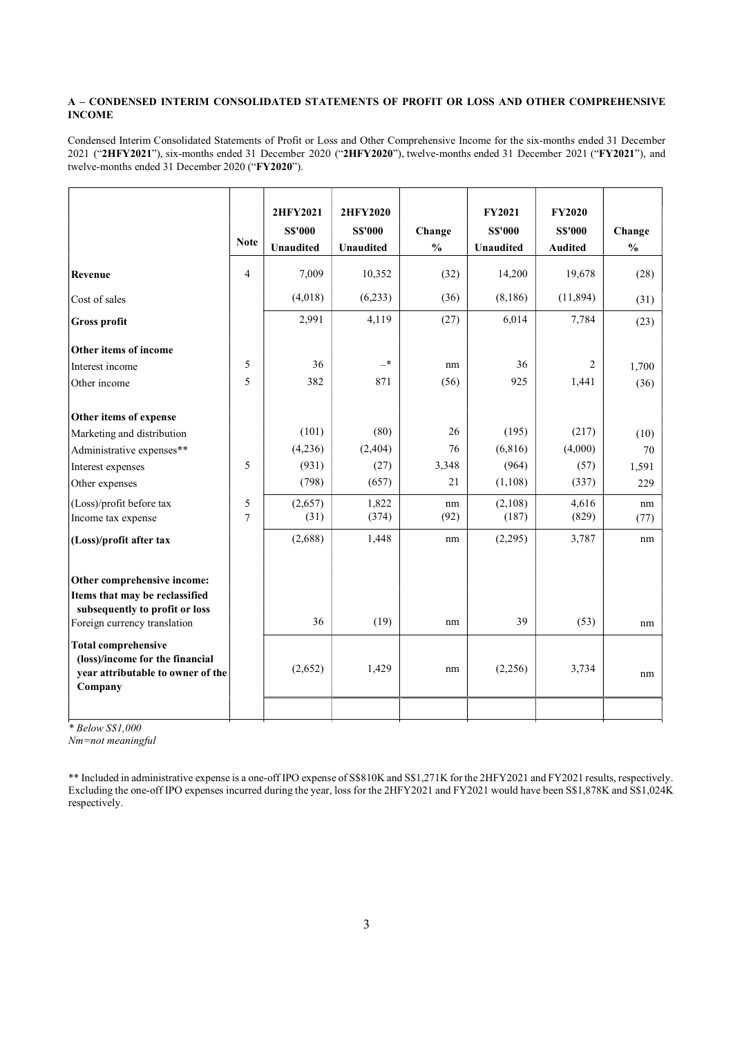# A – CONDENSED INTERIM CONSOLIDATED STATEMENTS OF PROFIT OR LOSS AND OTHER COMPREHENSIVE INCOME

Condensed Interim Consolidated Statements of Profit or Loss and Other Comprehensive Income for the six-months ended 31 December 2021 ("2HFY2021"), six-months ended 31 December 2020 ("2HFY2020"), twelve-months ended 31 December 2021 ("FY2021"), and twelve-months ended 31 December 2020 ("FY2020").

|                                                                                                                                                                                                  | <b>Note</b>    | 2HFY2021<br><b>S\$'000</b><br><b>Unaudited</b> | 2HFY2020<br><b>S\$'000</b><br><b>Unaudited</b> | Change<br>$\frac{0}{0}$ | <b>FY2021</b><br><b>S\$'000</b><br><b>Unaudited</b> | <b>FY2020</b><br><b>SS'000</b><br><b>Audited</b> | Change<br>$\frac{0}{0}$ |
|--------------------------------------------------------------------------------------------------------------------------------------------------------------------------------------------------|----------------|------------------------------------------------|------------------------------------------------|-------------------------|-----------------------------------------------------|--------------------------------------------------|-------------------------|
| Revenue                                                                                                                                                                                          | $\overline{4}$ | 7,009                                          | 10,352                                         | (32)                    | 14,200                                              | 19,678                                           | (28)                    |
| Cost of sales                                                                                                                                                                                    |                | (4,018)                                        | (6,233)                                        | (36)                    | (8,186)                                             | (11,894)                                         | (31)                    |
| <b>Gross profit</b>                                                                                                                                                                              |                | 2,991                                          | 4,119                                          | (27)                    | 6,014                                               | 7,784                                            | (23)                    |
| Other items of income                                                                                                                                                                            |                |                                                |                                                |                         |                                                     |                                                  |                         |
| Interest income                                                                                                                                                                                  | 5              | 36                                             | $-*$                                           | nm                      | 36                                                  | $\overline{2}$                                   | 1,700                   |
| Other income                                                                                                                                                                                     | 5              | 382                                            | 871                                            | (56)                    | 925                                                 | 1,441                                            | (36)                    |
| Other items of expense                                                                                                                                                                           |                |                                                |                                                |                         |                                                     |                                                  |                         |
| Marketing and distribution                                                                                                                                                                       |                | (101)                                          | (80)                                           | 26                      | (195)                                               | (217)                                            | (10)                    |
| Administrative expenses**                                                                                                                                                                        |                | (4,236)                                        | (2,404)                                        | 76                      | (6, 816)                                            | (4,000)                                          | 70                      |
| Interest expenses                                                                                                                                                                                | 5              | (931)                                          | (27)                                           | 3,348                   | (964)                                               | (57)                                             | 1,591                   |
| Other expenses                                                                                                                                                                                   |                | (798)                                          | (657)                                          | 21                      | (1,108)                                             | (337)                                            | 229                     |
| (Loss)/profit before tax                                                                                                                                                                         | 5              | (2,657)                                        | 1,822                                          | nm                      | (2,108)                                             | 4,616                                            | nm                      |
| Income tax expense                                                                                                                                                                               | $\overline{7}$ | (31)                                           | (374)                                          | (92)                    | (187)                                               | (829)                                            | (77)                    |
| (Loss)/profit after tax                                                                                                                                                                          |                | (2,688)                                        | 1,448                                          | nm                      | (2,295)                                             | 3,787                                            | nm                      |
| Other comprehensive income:<br>Items that may be reclassified<br>subsequently to profit or loss<br>Foreign currency translation<br><b>Total comprehensive</b><br>(loss)/income for the financial |                | 36                                             | (19)                                           | nm                      | 39                                                  | (53)                                             | nm                      |
| year attributable to owner of the<br>Company                                                                                                                                                     |                | (2,652)                                        | 1,429                                          | nm                      | (2,256)                                             | 3,734                                            | nm                      |
|                                                                                                                                                                                                  |                |                                                |                                                |                         |                                                     |                                                  |                         |

\* Below S\$1,000

Nm=not meaningful

<sup>\*\*</sup> Included in administrative expense is a one-off IPO expense of S\$810K and S\$1,271K for the 2HFY2021 and FY2021 results, respectively. Excluding the one-off IPO expenses incurred during the year, loss for the 2HFY2021 and FY2021 would have been S\$1,878K and S\$1,024K respectively.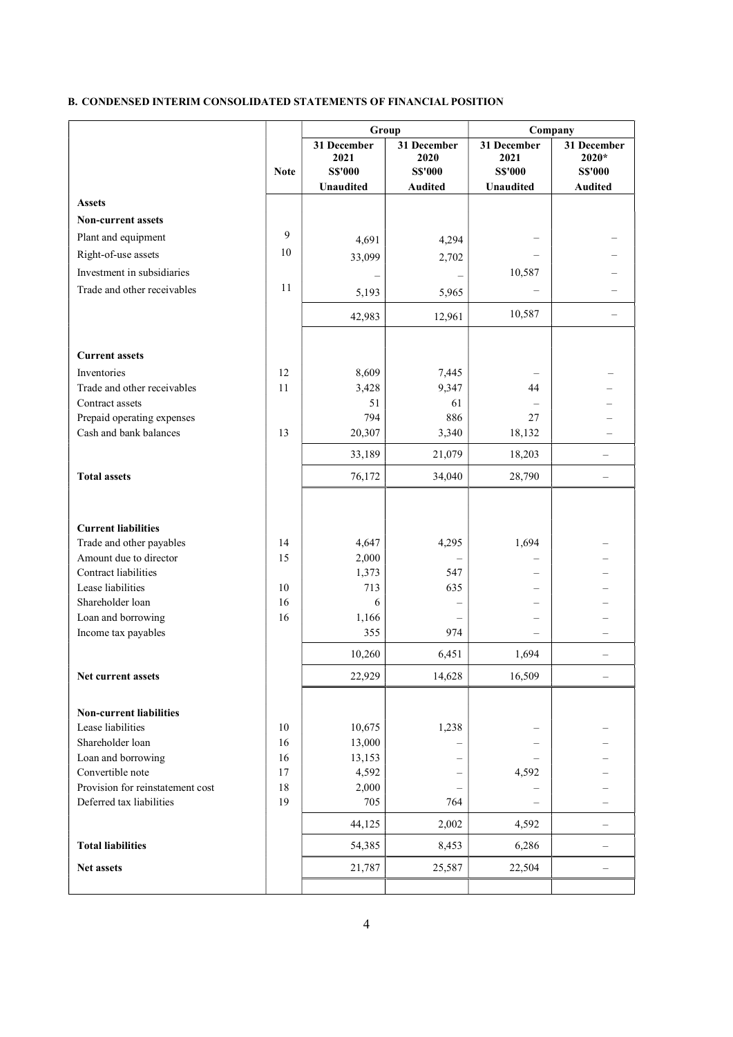# B. CONDENSED INTERIM CONSOLIDATED STATEMENTS OF FINANCIAL POSITION

|                                                    |             | Group                                                     |                                                         |                                                           | Company                                                  |
|----------------------------------------------------|-------------|-----------------------------------------------------------|---------------------------------------------------------|-----------------------------------------------------------|----------------------------------------------------------|
|                                                    | <b>Note</b> | 31 December<br>2021<br><b>S\$'000</b><br><b>Unaudited</b> | 31 December<br>2020<br><b>S\$'000</b><br><b>Audited</b> | 31 December<br>2021<br><b>S\$'000</b><br><b>Unaudited</b> | 31 December<br>2020*<br><b>S\$'000</b><br><b>Audited</b> |
| <b>Assets</b>                                      |             |                                                           |                                                         |                                                           |                                                          |
| <b>Non-current assets</b>                          |             |                                                           |                                                         |                                                           |                                                          |
|                                                    | 9           |                                                           |                                                         |                                                           |                                                          |
| Plant and equipment                                |             | 4,691                                                     | 4,294                                                   |                                                           |                                                          |
| Right-of-use assets                                | 10          | 33,099                                                    | 2,702                                                   |                                                           |                                                          |
| Investment in subsidiaries                         |             |                                                           |                                                         | 10,587                                                    |                                                          |
| Trade and other receivables                        | 11          | 5,193                                                     | 5,965                                                   |                                                           |                                                          |
|                                                    |             | 42,983                                                    | 12,961                                                  | 10,587                                                    |                                                          |
| <b>Current assets</b>                              |             |                                                           |                                                         |                                                           |                                                          |
| Inventories                                        | 12          | 8,609                                                     | 7,445                                                   |                                                           |                                                          |
| Trade and other receivables                        | 11          | 3,428                                                     | 9,347                                                   | 44                                                        |                                                          |
| Contract assets                                    |             | 51                                                        | 61                                                      |                                                           |                                                          |
| Prepaid operating expenses                         |             | 794                                                       | 886                                                     | 27                                                        |                                                          |
| Cash and bank balances                             | 13          | 20,307                                                    | 3,340                                                   | 18,132                                                    |                                                          |
|                                                    |             | 33,189                                                    | 21,079                                                  | 18,203                                                    |                                                          |
| <b>Total assets</b>                                |             | 76,172                                                    | 34,040                                                  | 28,790                                                    |                                                          |
|                                                    |             |                                                           |                                                         |                                                           |                                                          |
| <b>Current liabilities</b>                         |             |                                                           |                                                         |                                                           |                                                          |
| Trade and other payables<br>Amount due to director | 14<br>15    | 4,647<br>2,000                                            | 4,295                                                   | 1,694                                                     |                                                          |
| Contract liabilities                               |             | 1,373                                                     | 547                                                     |                                                           |                                                          |
| Lease liabilities                                  | 10          | 713                                                       | 635                                                     |                                                           |                                                          |
| Shareholder loan                                   | 16          | 6                                                         |                                                         |                                                           |                                                          |
| Loan and borrowing                                 | 16          | 1,166                                                     |                                                         |                                                           |                                                          |
| Income tax payables                                |             | 355                                                       | 974                                                     |                                                           |                                                          |
|                                                    |             | 10,260                                                    | 6,451                                                   | 1,694                                                     |                                                          |
| Net current assets                                 |             | 22,929                                                    | 14,628                                                  | 16,509                                                    |                                                          |
|                                                    |             |                                                           |                                                         |                                                           |                                                          |
| <b>Non-current liabilities</b>                     |             |                                                           |                                                         |                                                           |                                                          |
| Lease liabilities                                  | 10          | 10,675                                                    | 1,238                                                   |                                                           |                                                          |
| Shareholder loan                                   | 16          | 13,000                                                    |                                                         |                                                           |                                                          |
| Loan and borrowing                                 | 16          | 13,153                                                    |                                                         |                                                           |                                                          |
| Convertible note                                   | 17          | 4,592                                                     |                                                         | 4,592                                                     |                                                          |
| Provision for reinstatement cost                   | 18          | 2,000                                                     |                                                         |                                                           |                                                          |
| Deferred tax liabilities                           | 19          | 705                                                       | 764                                                     |                                                           |                                                          |
|                                                    |             | 44,125                                                    | 2,002                                                   | 4,592                                                     | —                                                        |
| <b>Total liabilities</b>                           |             | 54,385                                                    | 8,453                                                   | 6,286                                                     |                                                          |
| Net assets                                         |             | 21,787                                                    | 25,587                                                  | 22,504                                                    | -                                                        |
|                                                    |             |                                                           |                                                         |                                                           |                                                          |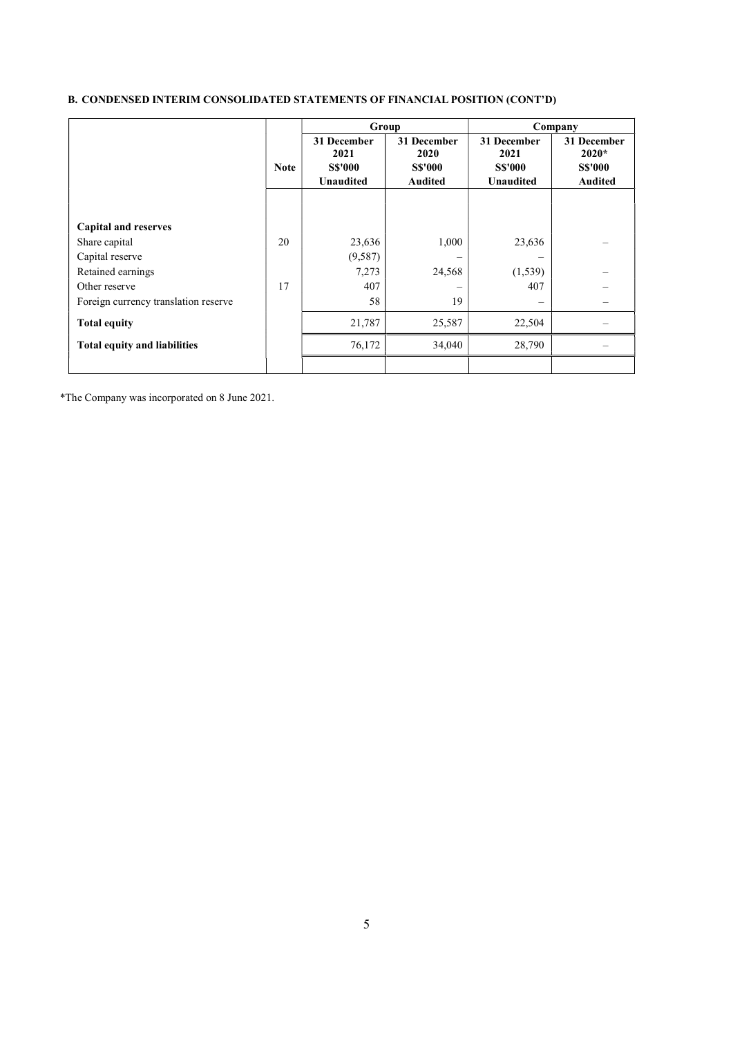# B. CONDENSED INTERIM CONSOLIDATED STATEMENTS OF FINANCIAL POSITION (CONT'D)

|                                      |             | Group               |                     |                     | Company                |
|--------------------------------------|-------------|---------------------|---------------------|---------------------|------------------------|
|                                      |             | 31 December<br>2021 | 31 December<br>2020 | 31 December<br>2021 | 31 December<br>$2020*$ |
|                                      | <b>Note</b> | <b>SS'000</b>       | <b>S\$'000</b>      | <b>SS'000</b>       | <b>S\$'000</b>         |
|                                      |             | <b>Unaudited</b>    | <b>Audited</b>      | <b>Unaudited</b>    | <b>Audited</b>         |
|                                      |             |                     |                     |                     |                        |
|                                      |             |                     |                     |                     |                        |
| <b>Capital and reserves</b>          |             |                     |                     |                     |                        |
| Share capital                        | 20          | 23,636              | 1,000               | 23,636              |                        |
| Capital reserve                      |             | (9, 587)            |                     |                     |                        |
| Retained earnings                    |             | 7,273               | 24,568              | (1, 539)            |                        |
| Other reserve                        | 17          | 407                 |                     | 407                 |                        |
| Foreign currency translation reserve |             | 58                  | 19                  | $\equiv$            |                        |
| <b>Total equity</b>                  |             | 21,787              | 25,587              | 22,504              |                        |
| <b>Total equity and liabilities</b>  |             | 76,172              | 34,040              | 28,790              |                        |
|                                      |             |                     |                     |                     |                        |

\*The Company was incorporated on 8 June 2021.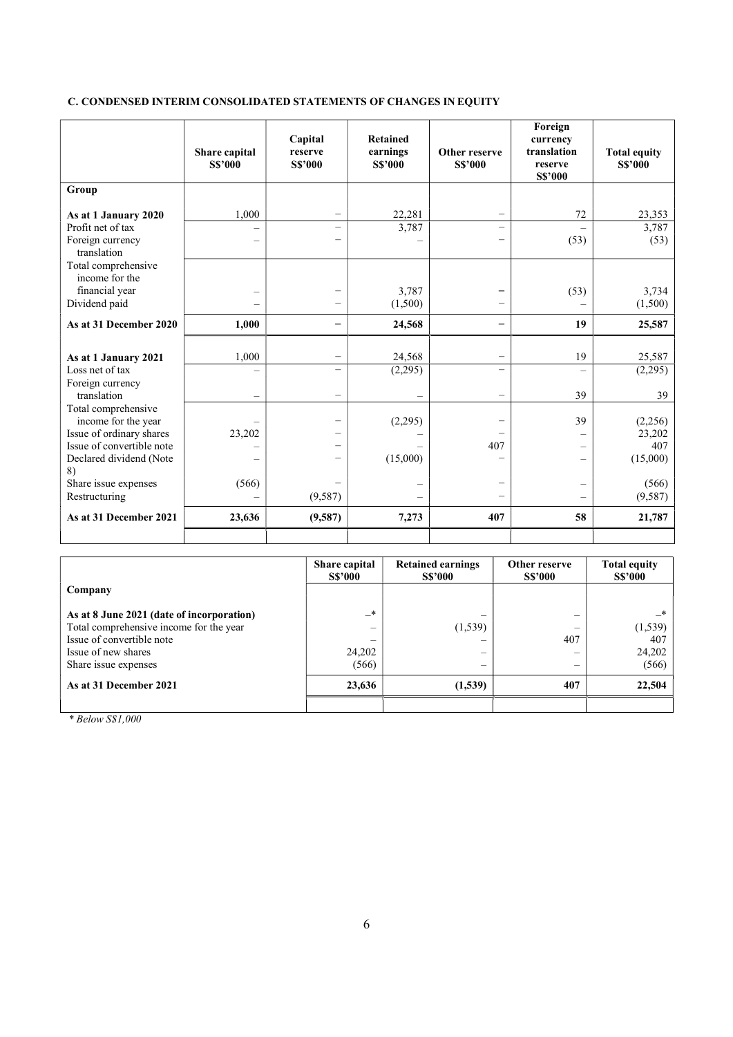# C. CONDENSED INTERIM CONSOLIDATED STATEMENTS OF CHANGES IN EQUITY

|                                       | Share capital<br><b>S\$'000</b> | Capital<br>reserve<br><b>S\$'000</b> | <b>Retained</b><br>earnings<br><b>S\$'000</b> | Other reserve<br><b>S\$'000</b> | Foreign<br>currency<br>translation<br>reserve<br><b>S\$'000</b> | <b>Total equity</b><br><b>S\$'000</b> |
|---------------------------------------|---------------------------------|--------------------------------------|-----------------------------------------------|---------------------------------|-----------------------------------------------------------------|---------------------------------------|
| Group                                 |                                 |                                      |                                               |                                 |                                                                 |                                       |
| As at 1 January 2020                  | 1,000                           |                                      | 22,281                                        | $\overline{\phantom{0}}$        | 72                                                              | 23,353                                |
| Profit net of tax                     |                                 | $\overline{\phantom{0}}$             | 3,787                                         | $\overline{\phantom{0}}$        |                                                                 | 3,787                                 |
| Foreign currency<br>translation       |                                 |                                      |                                               |                                 | (53)                                                            | (53)                                  |
| Total comprehensive<br>income for the |                                 |                                      |                                               |                                 |                                                                 |                                       |
| financial year                        |                                 |                                      | 3,787                                         |                                 | (53)                                                            | 3,734                                 |
| Dividend paid                         |                                 |                                      | (1,500)                                       |                                 |                                                                 | (1,500)                               |
| As at 31 December 2020                | 1,000                           |                                      | 24,568                                        |                                 | 19                                                              | 25,587                                |
|                                       |                                 |                                      |                                               |                                 |                                                                 |                                       |
| As at 1 January 2021                  | 1,000                           |                                      | 24,568                                        | $\overline{\phantom{0}}$        | 19                                                              | 25,587                                |
| Loss net of tax                       |                                 | $\overline{\phantom{0}}$             | (2,295)                                       |                                 |                                                                 | (2,295)                               |
| Foreign currency<br>translation       |                                 | -                                    |                                               | -                               | 39                                                              | 39                                    |
| Total comprehensive                   |                                 |                                      |                                               |                                 |                                                                 |                                       |
| income for the year                   |                                 |                                      | (2,295)                                       |                                 | 39                                                              | (2,256)                               |
| Issue of ordinary shares              | 23,202                          |                                      |                                               |                                 |                                                                 | 23,202                                |
| Issue of convertible note             |                                 |                                      |                                               | 407                             | $\overline{\phantom{0}}$                                        | 407                                   |
| Declared dividend (Note<br>8)         |                                 |                                      | (15,000)                                      |                                 | $\equiv$                                                        | (15,000)                              |
| Share issue expenses                  | (566)                           |                                      |                                               |                                 |                                                                 | (566)                                 |
| Restructuring                         |                                 | (9,587)                              |                                               |                                 |                                                                 | (9,587)                               |
| As at 31 December 2021                | 23,636                          | (9,587)                              | 7,273                                         | 407                             | 58                                                              | 21,787                                |
|                                       |                                 |                                      |                                               |                                 |                                                                 |                                       |

|                                           | Share capital<br><b>S\$'000</b> | <b>Retained earnings</b><br><b>S\$'000</b> | Other reserve<br><b>S\$'000</b> | <b>Total equity</b><br><b>S\$'000</b> |
|-------------------------------------------|---------------------------------|--------------------------------------------|---------------------------------|---------------------------------------|
| Company                                   |                                 |                                            |                                 |                                       |
| As at 8 June 2021 (date of incorporation) | $\rightarrow$                   | –                                          |                                 | $\ast$                                |
| Total comprehensive income for the year   | $\overline{\phantom{0}}$        | (1,539)                                    |                                 | (1, 539)                              |
| Issue of convertible note                 | -                               |                                            | 407                             | 407                                   |
| Issue of new shares                       | 24,202                          | –                                          |                                 | 24,202                                |
| Share issue expenses                      | (566)                           | –                                          |                                 | (566)                                 |
| As at 31 December 2021                    | 23,636                          | (1,539)                                    | 407                             | 22,504                                |
|                                           |                                 |                                            |                                 |                                       |

\* Below S\$1,000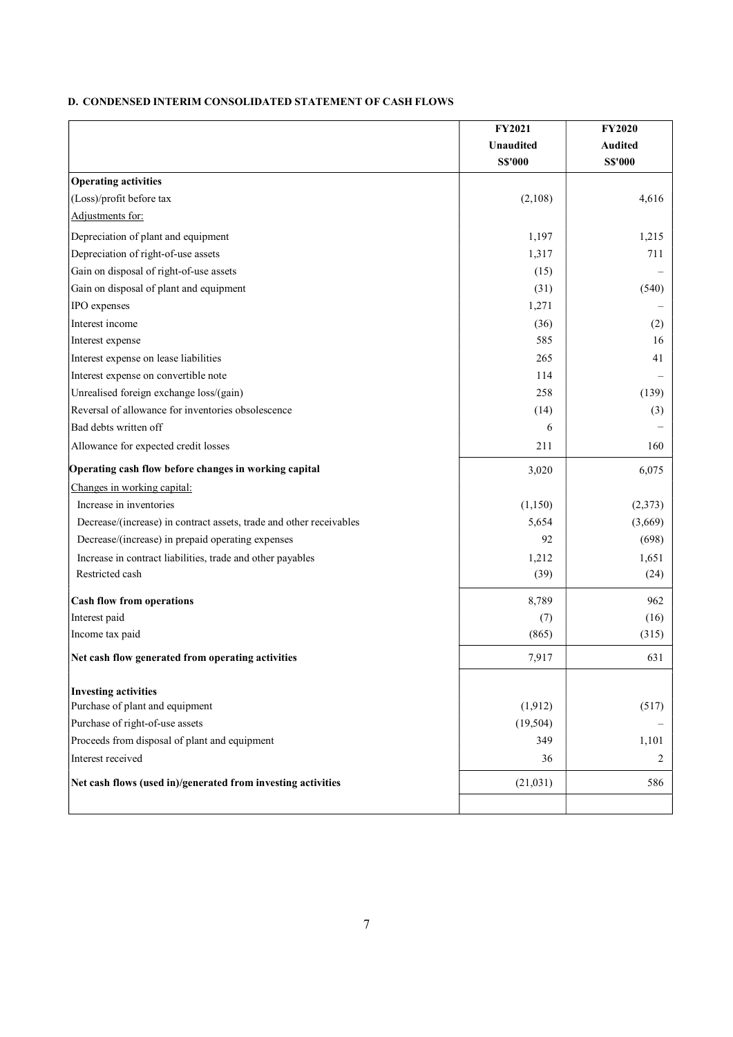# D. CONDENSED INTERIM CONSOLIDATED STATEMENT OF CASH FLOWS

|                                                                     | FY2021           | <b>FY2020</b>  |
|---------------------------------------------------------------------|------------------|----------------|
|                                                                     | <b>Unaudited</b> | <b>Audited</b> |
|                                                                     | <b>S\$'000</b>   | <b>S\$'000</b> |
| <b>Operating activities</b>                                         |                  |                |
| (Loss)/profit before tax                                            | (2,108)          | 4,616          |
| Adjustments for:                                                    |                  |                |
| Depreciation of plant and equipment                                 | 1,197            | 1,215          |
| Depreciation of right-of-use assets                                 | 1,317            | 711            |
| Gain on disposal of right-of-use assets                             | (15)             |                |
| Gain on disposal of plant and equipment                             | (31)             | (540)          |
| IPO expenses                                                        | 1,271            |                |
| Interest income                                                     | (36)             | (2)            |
| Interest expense                                                    | 585              | 16             |
| Interest expense on lease liabilities                               | 265              | 41             |
| Interest expense on convertible note                                | 114              |                |
| Unrealised foreign exchange loss/(gain)                             | 258              | (139)          |
| Reversal of allowance for inventories obsolescence                  | (14)             | (3)            |
| Bad debts written off                                               | 6                |                |
| Allowance for expected credit losses                                | 211              | 160            |
| Operating cash flow before changes in working capital               | 3,020            | 6,075          |
| Changes in working capital:                                         |                  |                |
| Increase in inventories                                             | (1,150)          | (2,373)        |
| Decrease/(increase) in contract assets, trade and other receivables | 5,654            | (3,669)        |
| Decrease/(increase) in prepaid operating expenses                   | 92               | (698)          |
| Increase in contract liabilities, trade and other payables          | 1,212            | 1,651          |
| Restricted cash                                                     | (39)             | (24)           |
| <b>Cash flow from operations</b>                                    | 8,789            | 962            |
| Interest paid                                                       | (7)              | (16)           |
| Income tax paid                                                     | (865)            | (315)          |
| Net cash flow generated from operating activities                   | 7,917            | 631            |
| <b>Investing activities</b>                                         |                  |                |
| Purchase of plant and equipment                                     | (1,912)          | (517)          |
| Purchase of right-of-use assets                                     | (19, 504)        |                |
| Proceeds from disposal of plant and equipment                       | 349              | 1,101          |
| Interest received                                                   | 36               | 2              |
| Net cash flows (used in)/generated from investing activities        | (21,031)         | 586            |
|                                                                     |                  |                |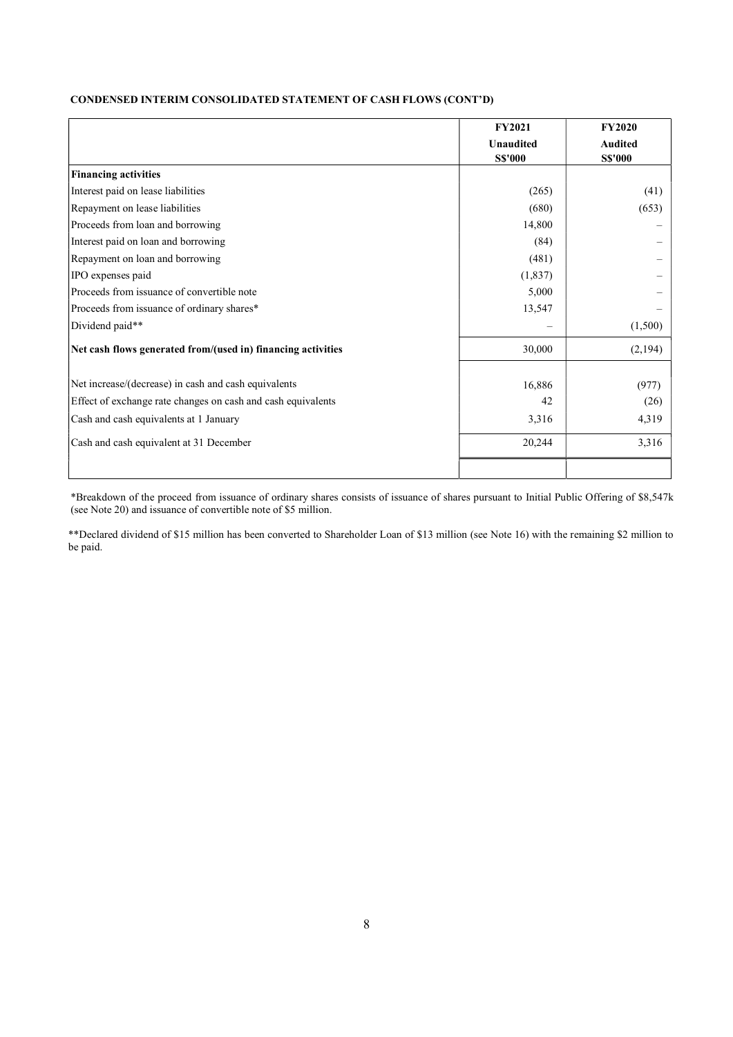# CONDENSED INTERIM CONSOLIDATED STATEMENT OF CASH FLOWS (CONT'D)

|                                                              | <b>FY2021</b>    | <b>FY2020</b>  |
|--------------------------------------------------------------|------------------|----------------|
|                                                              | <b>Unaudited</b> | <b>Audited</b> |
|                                                              | <b>S\$'000</b>   | <b>S\$'000</b> |
| <b>Financing activities</b>                                  |                  |                |
| Interest paid on lease liabilities                           | (265)            | (41)           |
| Repayment on lease liabilities                               | (680)            | (653)          |
| Proceeds from loan and borrowing                             | 14,800           |                |
| Interest paid on loan and borrowing                          | (84)             |                |
| Repayment on loan and borrowing                              | (481)            |                |
| IPO expenses paid                                            | (1,837)          |                |
| Proceeds from issuance of convertible note                   | 5,000            |                |
| Proceeds from issuance of ordinary shares*                   | 13,547           |                |
| Dividend paid**                                              |                  | (1,500)        |
| Net cash flows generated from/(used in) financing activities | 30,000           | (2,194)        |
|                                                              |                  |                |
| Net increase/(decrease) in cash and cash equivalents         | 16,886           | (977)          |
| Effect of exchange rate changes on cash and cash equivalents | 42               | (26)           |
| Cash and cash equivalents at 1 January                       | 3,316            | 4,319          |
| Cash and cash equivalent at 31 December                      | 20,244           | 3,316          |
|                                                              |                  |                |

\*Breakdown of the proceed from issuance of ordinary shares consists of issuance of shares pursuant to Initial Public Offering of \$8,547k (see Note 20) and issuance of convertible note of \$5 million.

\*\*Declared dividend of \$15 million has been converted to Shareholder Loan of \$13 million (see Note 16) with the remaining \$2 million to be paid.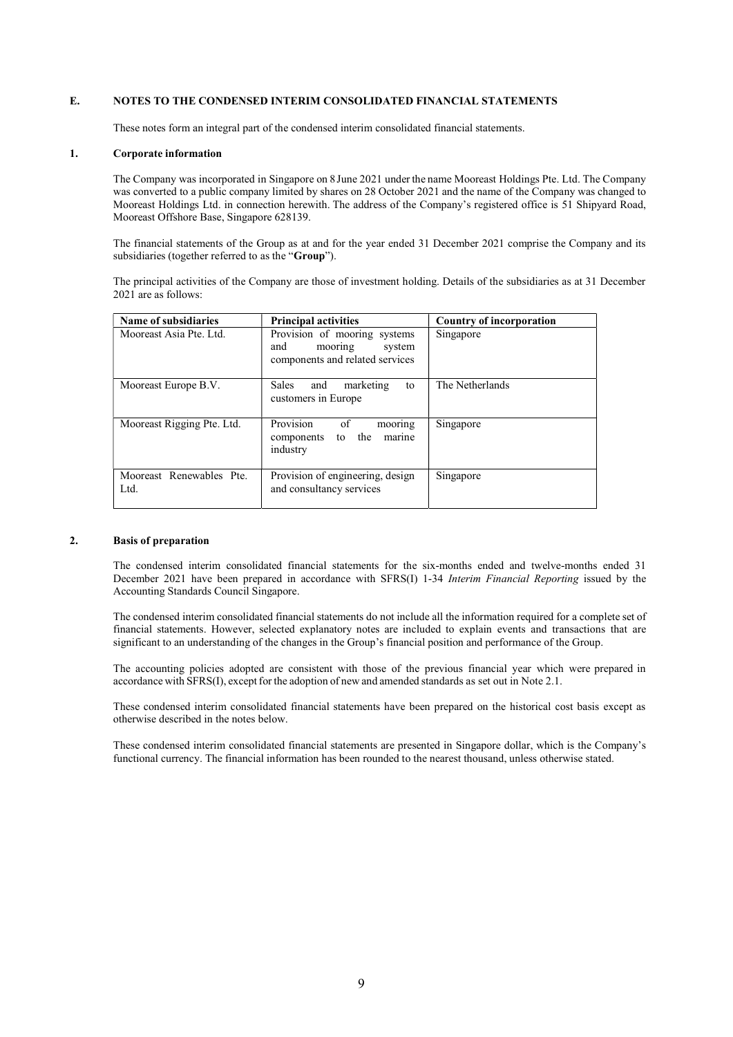## E. NOTES TO THE CONDENSED INTERIM CONSOLIDATED FINANCIAL STATEMENTS

These notes form an integral part of the condensed interim consolidated financial statements.

#### 1. Corporate information

The Company was incorporated in Singapore on 8 June 2021 under the name Mooreast Holdings Pte. Ltd. The Company was converted to a public company limited by shares on 28 October 2021 and the name of the Company was changed to Mooreast Holdings Ltd. in connection herewith. The address of the Company's registered office is 51 Shipyard Road, Mooreast Offshore Base, Singapore 628139.

The financial statements of the Group as at and for the year ended 31 December 2021 comprise the Company and its subsidiaries (together referred to as the "Group").

The principal activities of the Company are those of investment holding. Details of the subsidiaries as at 31 December 2021 are as follows:

| Name of subsidiaries             | <b>Principal activities</b>                                                                 | <b>Country of incorporation</b> |
|----------------------------------|---------------------------------------------------------------------------------------------|---------------------------------|
| Mooreast Asia Pte. Ltd.          | Provision of mooring systems<br>and<br>mooring<br>system<br>components and related services | Singapore                       |
| Mooreast Europe B.V.             | <b>Sales</b><br>and<br>marketing<br>to<br>customers in Europe                               | The Netherlands                 |
| Mooreast Rigging Pte. Ltd.       | Provision<br>of<br>mooring<br>the<br>marine<br>to<br>components<br>industry                 | Singapore                       |
| Mooreast Renewables Pte.<br>Ltd. | Provision of engineering, design<br>and consultancy services                                | Singapore                       |

#### 2. Basis of preparation

The condensed interim consolidated financial statements for the six-months ended and twelve-months ended 31 December 2021 have been prepared in accordance with SFRS(I) 1-34 *Interim Financial Reporting* issued by the Accounting Standards Council Singapore.

The condensed interim consolidated financial statements do not include all the information required for a complete set of financial statements. However, selected explanatory notes are included to explain events and transactions that are significant to an understanding of the changes in the Group's financial position and performance of the Group.

The accounting policies adopted are consistent with those of the previous financial year which were prepared in accordance with SFRS(I), except for the adoption of new and amended standards as set out in Note 2.1.

These condensed interim consolidated financial statements have been prepared on the historical cost basis except as otherwise described in the notes below.

These condensed interim consolidated financial statements are presented in Singapore dollar, which is the Company's functional currency. The financial information has been rounded to the nearest thousand, unless otherwise stated.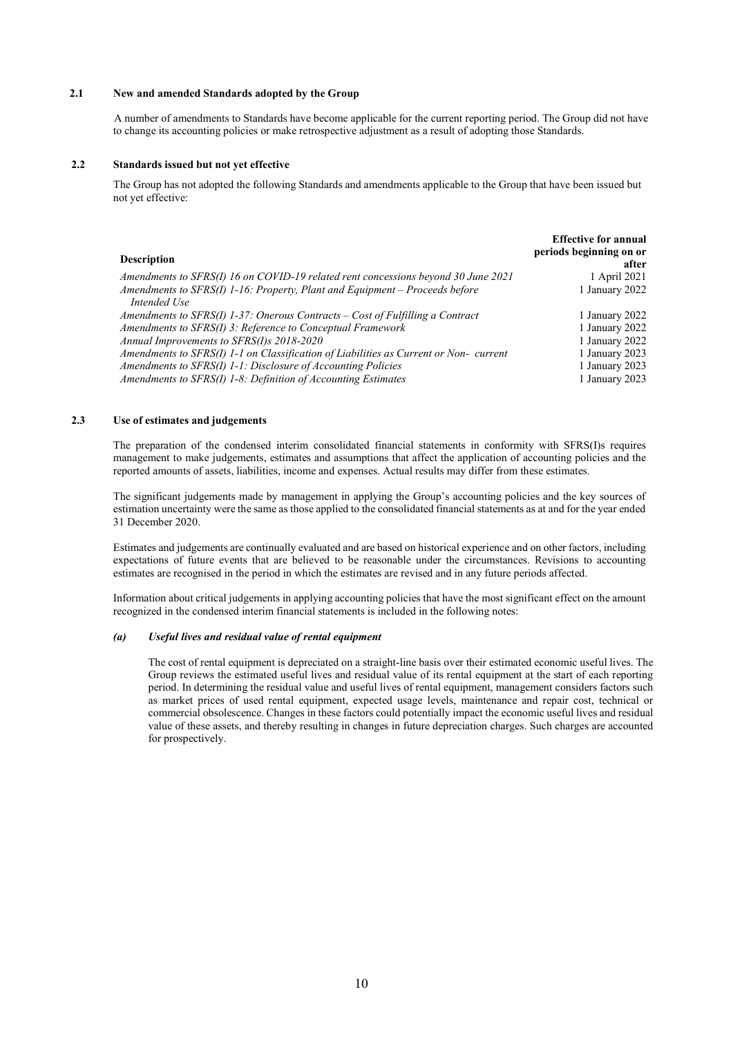#### 2.1 New and amended Standards adopted by the Group

A number of amendments to Standards have become applicable for the current reporting period. The Group did not have to change its accounting policies or make retrospective adjustment as a result of adopting those Standards.

#### 2.2 Standards issued but not yet effective

The Group has not adopted the following Standards and amendments applicable to the Group that have been issued but not yet effective:

|                                                                                      | <b>Effective for annual</b> |
|--------------------------------------------------------------------------------------|-----------------------------|
|                                                                                      | periods beginning on or     |
| <b>Description</b>                                                                   | after                       |
| Amendments to SFRS(I) 16 on COVID-19 related rent concessions beyond 30 June 2021    | 1 April 2021                |
| Amendments to SFRS(I) 1-16: Property, Plant and Equipment - Proceeds before          | 1 January 2022              |
| Intended Use                                                                         |                             |
| Amendments to $SFRS(I)$ 1-37: Onerous Contracts – Cost of Fulfilling a Contract      | 1 January 2022              |
| Amendments to SFRS(I) 3: Reference to Conceptual Framework                           | 1 January 2022              |
| Annual Improvements to SFRS(I)s 2018-2020                                            | 1 January 2022              |
| Amendments to SFRS(I) 1-1 on Classification of Liabilities as Current or Non-current | 1 January 2023              |
| Amendments to SFRS(I) 1-1: Disclosure of Accounting Policies                         | 1 January 2023              |
| Amendments to SFRS(I) 1-8: Definition of Accounting Estimates                        | 1 January 2023              |

# 2.3 Use of estimates and judgements

The preparation of the condensed interim consolidated financial statements in conformity with SFRS(I)s requires management to make judgements, estimates and assumptions that affect the application of accounting policies and the reported amounts of assets, liabilities, income and expenses. Actual results may differ from these estimates.

The significant judgements made by management in applying the Group's accounting policies and the key sources of estimation uncertainty were the same as those applied to the consolidated financial statements as at and for the year ended 31 December 2020.

Estimates and judgements are continually evaluated and are based on historical experience and on other factors, including expectations of future events that are believed to be reasonable under the circumstances. Revisions to accounting estimates are recognised in the period in which the estimates are revised and in any future periods affected.

Information about critical judgements in applying accounting policies that have the most significant effect on the amount recognized in the condensed interim financial statements is included in the following notes:

## (a) Useful lives and residual value of rental equipment

The cost of rental equipment is depreciated on a straight-line basis over their estimated economic useful lives. The Group reviews the estimated useful lives and residual value of its rental equipment at the start of each reporting period. In determining the residual value and useful lives of rental equipment, management considers factors such as market prices of used rental equipment, expected usage levels, maintenance and repair cost, technical or commercial obsolescence. Changes in these factors could potentially impact the economic useful lives and residual value of these assets, and thereby resulting in changes in future depreciation charges. Such charges are accounted for prospectively.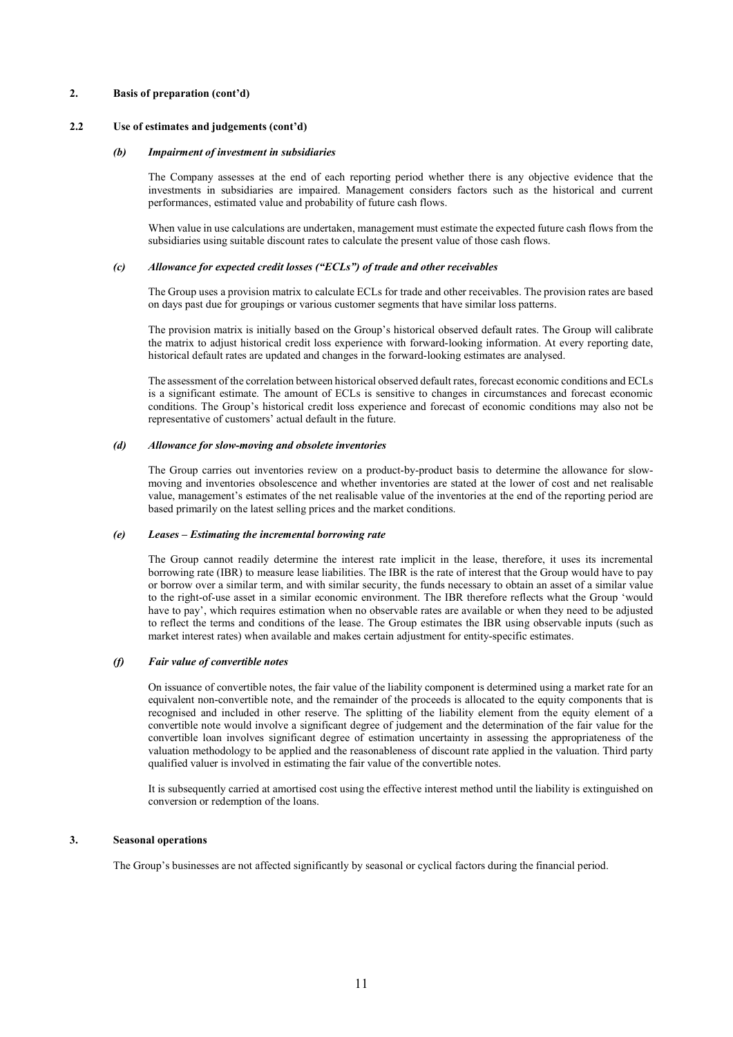## 2. Basis of preparation (cont'd)

## 2.2 Use of estimates and judgements (cont'd)

#### (b) Impairment of investment in subsidiaries

The Company assesses at the end of each reporting period whether there is any objective evidence that the investments in subsidiaries are impaired. Management considers factors such as the historical and current performances, estimated value and probability of future cash flows.

When value in use calculations are undertaken, management must estimate the expected future cash flows from the subsidiaries using suitable discount rates to calculate the present value of those cash flows.

#### (c) Allowance for expected credit losses ("ECLs") of trade and other receivables

The Group uses a provision matrix to calculate ECLs for trade and other receivables. The provision rates are based on days past due for groupings or various customer segments that have similar loss patterns.

The provision matrix is initially based on the Group's historical observed default rates. The Group will calibrate the matrix to adjust historical credit loss experience with forward-looking information. At every reporting date, historical default rates are updated and changes in the forward-looking estimates are analysed.

The assessment of the correlation between historical observed default rates, forecast economic conditions and ECLs is a significant estimate. The amount of ECLs is sensitive to changes in circumstances and forecast economic conditions. The Group's historical credit loss experience and forecast of economic conditions may also not be representative of customers' actual default in the future.

#### (d) Allowance for slow-moving and obsolete inventories

The Group carries out inventories review on a product-by-product basis to determine the allowance for slowmoving and inventories obsolescence and whether inventories are stated at the lower of cost and net realisable value, management's estimates of the net realisable value of the inventories at the end of the reporting period are based primarily on the latest selling prices and the market conditions.

#### (e) Leases – Estimating the incremental borrowing rate

The Group cannot readily determine the interest rate implicit in the lease, therefore, it uses its incremental borrowing rate (IBR) to measure lease liabilities. The IBR is the rate of interest that the Group would have to pay or borrow over a similar term, and with similar security, the funds necessary to obtain an asset of a similar value to the right-of-use asset in a similar economic environment. The IBR therefore reflects what the Group 'would have to pay', which requires estimation when no observable rates are available or when they need to be adjusted to reflect the terms and conditions of the lease. The Group estimates the IBR using observable inputs (such as market interest rates) when available and makes certain adjustment for entity-specific estimates.

#### (f) Fair value of convertible notes

On issuance of convertible notes, the fair value of the liability component is determined using a market rate for an equivalent non-convertible note, and the remainder of the proceeds is allocated to the equity components that is recognised and included in other reserve. The splitting of the liability element from the equity element of a convertible note would involve a significant degree of judgement and the determination of the fair value for the convertible loan involves significant degree of estimation uncertainty in assessing the appropriateness of the valuation methodology to be applied and the reasonableness of discount rate applied in the valuation. Third party qualified valuer is involved in estimating the fair value of the convertible notes.

It is subsequently carried at amortised cost using the effective interest method until the liability is extinguished on conversion or redemption of the loans.

## 3. Seasonal operations

The Group's businesses are not affected significantly by seasonal or cyclical factors during the financial period.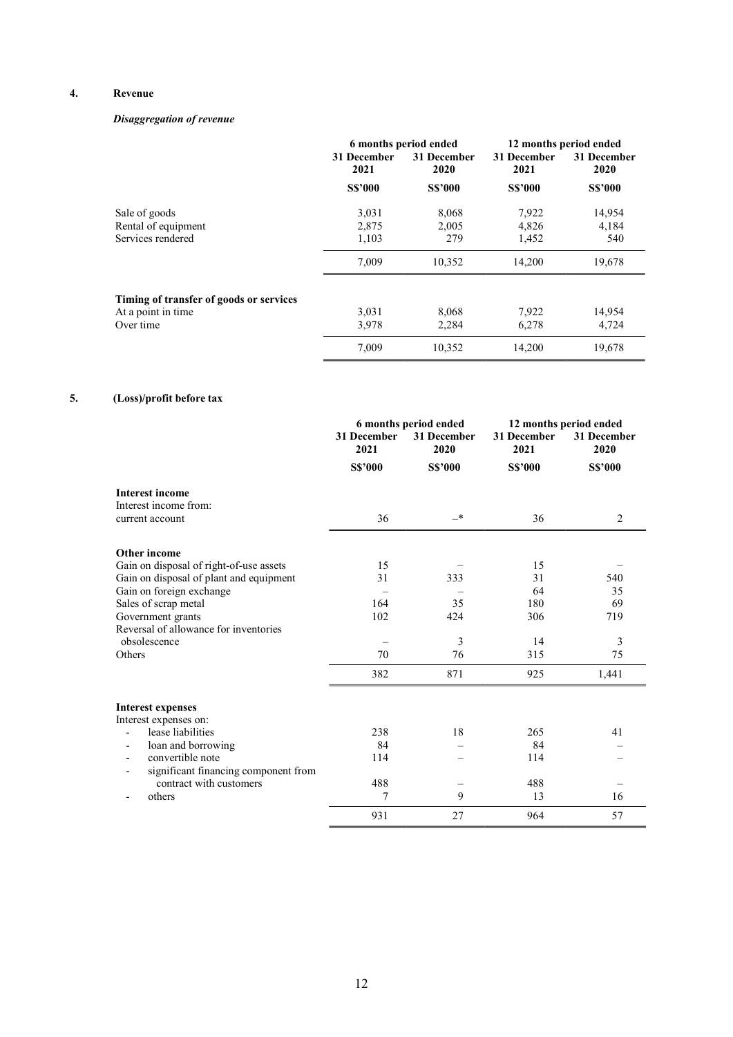# 4. Revenue

# Disaggregation of revenue

|                                         |                     | 6 months period ended |                     | 12 months period ended |
|-----------------------------------------|---------------------|-----------------------|---------------------|------------------------|
|                                         | 31 December<br>2021 | 31 December<br>2020   | 31 December<br>2021 | 31 December<br>2020    |
|                                         | <b>S\$'000</b>      | <b>S\$'000</b>        | <b>S\$'000</b>      | <b>S\$'000</b>         |
| Sale of goods                           | 3,031               | 8,068                 | 7,922               | 14,954                 |
| Rental of equipment                     | 2,875               | 2,005                 | 4,826               | 4,184                  |
| Services rendered                       | 1,103               | 279                   | 1,452               | 540                    |
|                                         | 7,009               | 10,352                | 14,200              | 19,678                 |
| Timing of transfer of goods or services |                     |                       |                     |                        |
| At a point in time                      | 3,031               | 8,068                 | 7,922               | 14,954                 |
| Over time                               | 3,978               | 2,284                 | 6,278               | 4,724                  |
|                                         | 7.009               | 10.352                | 14,200              | 19,678                 |

# 5. (Loss)/profit before tax

|                                         | 6 months period ended |                     | 12 months period ended |                     |
|-----------------------------------------|-----------------------|---------------------|------------------------|---------------------|
|                                         | 31 December<br>2021   | 31 December<br>2020 | 31 December<br>2021    | 31 December<br>2020 |
|                                         | <b>S\$'000</b>        | <b>S\$'000</b>      | <b>S\$'000</b>         | <b>S\$'000</b>      |
| <b>Interest income</b>                  |                       |                     |                        |                     |
| Interest income from:                   |                       |                     |                        |                     |
| current account                         | 36                    | _*                  | 36                     | 2                   |
| Other income                            |                       |                     |                        |                     |
| Gain on disposal of right-of-use assets | 15                    |                     | 15                     |                     |
| Gain on disposal of plant and equipment | 31                    | 333                 | 31                     | 540                 |
| Gain on foreign exchange                |                       |                     | 64                     | 35                  |
| Sales of scrap metal                    | 164                   | 35                  | 180                    | 69                  |
| Government grants                       | 102                   | 424                 | 306                    | 719                 |
| Reversal of allowance for inventories   |                       |                     |                        |                     |
| obsolescence                            |                       | 3                   | 14                     | 3                   |
| Others                                  | 70                    | 76                  | 315                    | 75                  |
|                                         | 382                   | 871                 | 925                    | 1,441               |
| <b>Interest expenses</b>                |                       |                     |                        |                     |
| Interest expenses on:                   |                       |                     |                        |                     |
| lease liabilities                       | 238                   | 18                  | 265                    | 41                  |
| loan and borrowing                      | 84                    |                     | 84                     |                     |
| convertible note                        | 114                   |                     | 114                    |                     |
| significant financing component from    |                       |                     |                        |                     |
| contract with customers                 | 488                   |                     | 488                    |                     |
| others                                  | 7                     | 9                   | 13                     | 16                  |
|                                         | 931                   | 27                  | 964                    | 57                  |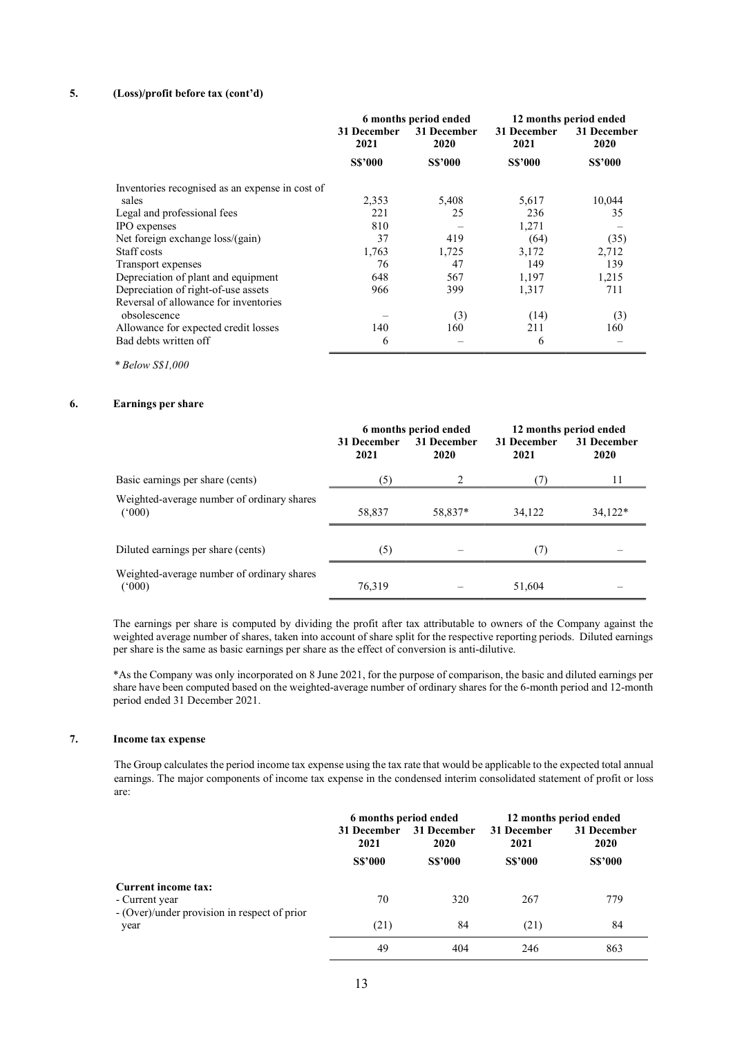# 5. (Loss)/profit before tax (cont'd)

|                                                       | 6 months period ended |                     | 12 months period ended |                     |
|-------------------------------------------------------|-----------------------|---------------------|------------------------|---------------------|
|                                                       | 31 December<br>2021   | 31 December<br>2020 | 31 December<br>2021    | 31 December<br>2020 |
|                                                       | <b>S\$'000</b>        | <b>S\$'000</b>      | <b>S\$'000</b>         | <b>S\$'000</b>      |
| Inventories recognised as an expense in cost of       |                       |                     |                        |                     |
| sales                                                 | 2,353                 | 5,408               | 5,617                  | 10,044              |
| Legal and professional fees                           | 221                   | 25                  | 236                    | 35                  |
| IPO expenses                                          | 810                   |                     | 1,271                  |                     |
| Net foreign exchange loss/(gain)                      | 37                    | 419                 | (64)                   | (35)                |
| Staff costs                                           | 1,763                 | 1,725               | 3,172                  | 2,712               |
| Transport expenses                                    | 76                    | 47                  | 149                    | 139                 |
| Depreciation of plant and equipment                   | 648                   | 567                 | 1,197                  | 1,215               |
| Depreciation of right-of-use assets                   | 966                   | 399                 | 1,317                  | 711                 |
| Reversal of allowance for inventories<br>obsolescence |                       | (3)                 | (14)                   | (3)                 |
| Allowance for expected credit losses                  | 140                   | 160                 | 211                    | 160                 |
| Bad debts written off                                 | 6                     |                     | 6                      |                     |

\* Below S\$1,000

# 6. Earnings per share

|                                                     | 31 December<br>2021 | 6 months period ended<br>31 December<br>2020 | 31 December<br>2021 | 12 months period ended<br>31 December<br>2020 |
|-----------------------------------------------------|---------------------|----------------------------------------------|---------------------|-----------------------------------------------|
| Basic earnings per share (cents)                    | (5)                 | 2                                            | (7)                 | 11                                            |
| Weighted-average number of ordinary shares<br>(000) | 58,837              | 58,837*                                      | 34,122              | $34,122*$                                     |
| Diluted earnings per share (cents)                  | (5)                 |                                              | (7)                 |                                               |
| Weighted-average number of ordinary shares<br>(000) | 76,319              |                                              | 51,604              |                                               |

The earnings per share is computed by dividing the profit after tax attributable to owners of the Company against the weighted average number of shares, taken into account of share split for the respective reporting periods. Diluted earnings per share is the same as basic earnings per share as the effect of conversion is anti-dilutive.

\*As the Company was only incorporated on 8 June 2021, for the purpose of comparison, the basic and diluted earnings per share have been computed based on the weighted-average number of ordinary shares for the 6-month period and 12-month period ended 31 December 2021.

# 7. Income tax expense

The Group calculates the period income tax expense using the tax rate that would be applicable to the expected total annual earnings. The major components of income tax expense in the condensed interim consolidated statement of profit or loss are:

|                                                      | 6 months period ended |                            |                | 12 months period ended |
|------------------------------------------------------|-----------------------|----------------------------|----------------|------------------------|
|                                                      | 31 December<br>2021   | 31 December<br><b>2020</b> |                | 31 December<br>2020    |
|                                                      | <b>S\$'000</b>        | <b>S\$'000</b>             | <b>S\$'000</b> | <b>S\$'000</b>         |
| Current income tax:<br>- Current year                | 70                    | 320                        | 267            | 779                    |
| - (Over)/under provision in respect of prior<br>year | (21)                  | 84                         | (21)           | 84                     |
|                                                      | 49                    | 404                        | 246            | 863                    |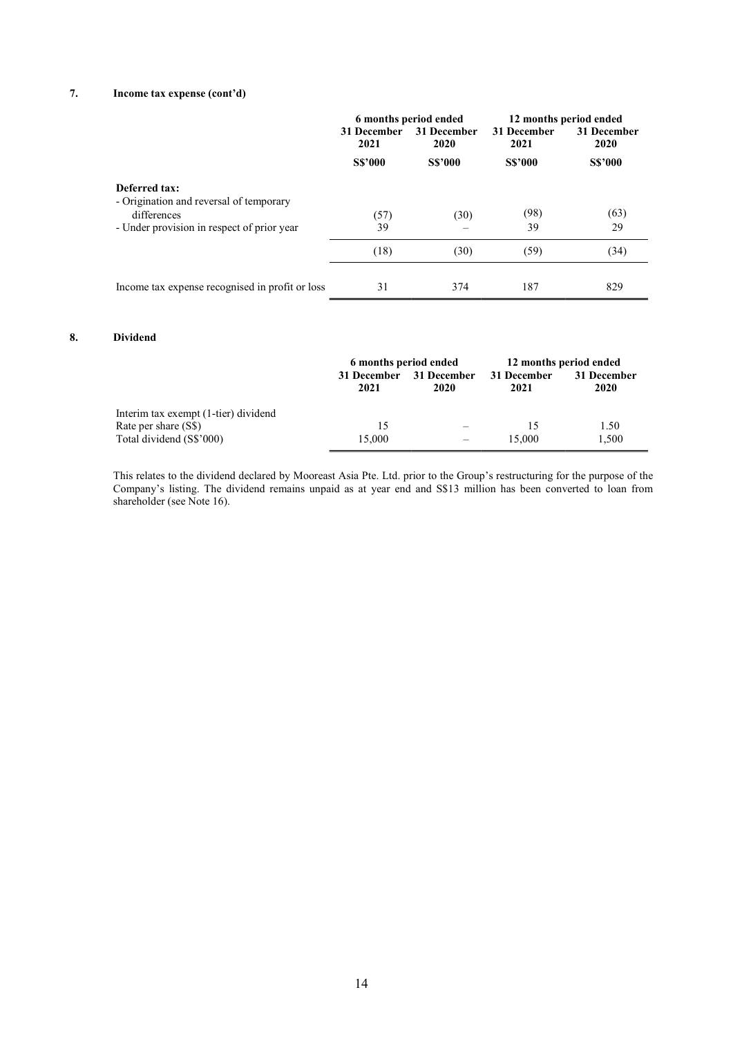# 7. Income tax expense (cont'd)

|                                                                                                                       | 31 December<br>2021 | 6 months period ended<br>31 December<br>2020 | 31 December<br>2021 | 12 months period ended<br>31 December<br>2020 |  |
|-----------------------------------------------------------------------------------------------------------------------|---------------------|----------------------------------------------|---------------------|-----------------------------------------------|--|
|                                                                                                                       | <b>S\$'000</b>      | <b>S\$'000</b>                               | <b>S\$'000</b>      | <b>S\$'000</b>                                |  |
| Deferred tax:<br>- Origination and reversal of temporary<br>differences<br>- Under provision in respect of prior year | (57)<br>39          | (30)                                         | (98)<br>39          | (63)<br>29                                    |  |
|                                                                                                                       | (18)                | (30)                                         | (59)                | (34)                                          |  |
| Income tax expense recognised in profit or loss                                                                       | 31                  | 374                                          | 187                 | 829                                           |  |

# 8. Dividend

|                                      | 6 months period ended |                     | 12 months period ended |                     |
|--------------------------------------|-----------------------|---------------------|------------------------|---------------------|
|                                      | 31 December<br>2021   | 31 December<br>2020 | 31 December<br>2021    | 31 December<br>2020 |
| Interim tax exempt (1-tier) dividend |                       |                     |                        |                     |
| Rate per share (S\$)                 | 15                    |                     |                        | 1.50                |
| Total dividend (S\$'000)             | 15,000                |                     | 15,000                 | 1,500               |

This relates to the dividend declared by Mooreast Asia Pte. Ltd. prior to the Group's restructuring for the purpose of the Company's listing. The dividend remains unpaid as at year end and S\$13 million has been converted to loan from shareholder (see Note 16).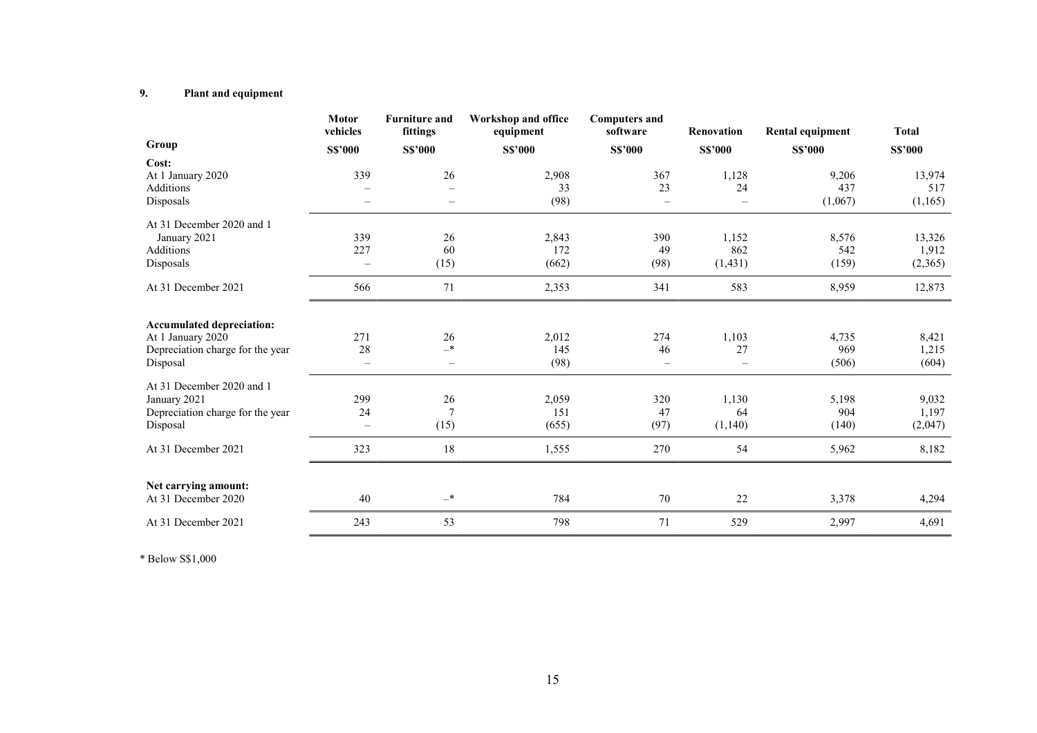# 9. Plant and equipment

|                                                       | <b>Motor</b><br>vehicles | <b>Furniture and</b><br>fittings | <b>Workshop and office</b><br>equipment | <b>Computers and</b><br>software | Renovation               | Rental equipment | <b>Total</b>   |
|-------------------------------------------------------|--------------------------|----------------------------------|-----------------------------------------|----------------------------------|--------------------------|------------------|----------------|
| Group                                                 | <b>S\$'000</b>           | <b>S\$'000</b>                   | <b>S\$'000</b>                          | <b>S\$'000</b>                   | <b>S\$'000</b>           | <b>S\$'000</b>   | <b>S\$'000</b> |
| Cost:                                                 |                          |                                  |                                         |                                  |                          |                  |                |
| At 1 January 2020                                     | 339                      | 26                               | 2,908                                   | 367                              | 1,128                    | 9,206            | 13,974         |
| <b>Additions</b>                                      |                          |                                  | 33                                      | 23                               | 24                       | 437              | 517            |
| Disposals                                             | $\equiv$                 | $\overline{\phantom{m}}$         | (98)                                    | $\overline{\phantom{m}}$         | $\overline{\phantom{0}}$ | (1,067)          | (1,165)        |
| At 31 December 2020 and 1                             |                          |                                  |                                         |                                  |                          |                  |                |
| January 2021                                          | 339                      | 26                               | 2,843                                   | 390                              | 1,152                    | 8,576            | 13,326         |
| Additions                                             | 227                      | 60                               | 172                                     | 49                               | 862                      | 542              | 1,912          |
| Disposals                                             | $\overline{\phantom{m}}$ | (15)                             | (662)                                   | (98)                             | (1, 431)                 | (159)            | (2,365)        |
| At 31 December 2021                                   | 566                      | 71                               | 2,353                                   | 341                              | 583                      | 8,959            | 12,873         |
| <b>Accumulated depreciation:</b><br>At 1 January 2020 | 271                      | 26                               | 2,012                                   | 274                              | 1,103                    | 4,735            | 8,421          |
| Depreciation charge for the year                      | 28                       | $-*$                             | 145                                     | 46                               | 27                       | 969              | 1,215          |
| Disposal                                              | $\overline{\phantom{m}}$ | $\overline{\phantom{m}}$         | (98)                                    | $\overline{\phantom{m}}$         | ÷                        | (506)            | (604)          |
| At 31 December 2020 and 1                             |                          |                                  |                                         |                                  |                          |                  |                |
| January 2021                                          | 299                      | $26\,$                           | 2,059                                   | 320                              | 1,130                    | 5,198            | 9,032          |
| Depreciation charge for the year                      | 24                       | $\overline{7}$                   | 151                                     | 47                               | 64                       | 904              | 1,197          |
| Disposal                                              | $\equiv$                 | (15)                             | (655)                                   | (97)                             | (1,140)                  | (140)            | (2,047)        |
| At 31 December 2021                                   | 323                      | $18\,$                           | 1,555                                   | 270                              | 54                       | 5,962            | 8,182          |
|                                                       |                          |                                  |                                         |                                  |                          |                  |                |
| Net carrying amount:<br>At 31 December 2020           | 40                       | $-*$                             | 784                                     | 70                               | 22                       | 3,378            | 4,294          |
| At 31 December 2021                                   | 243                      | 53                               | 798                                     | 71                               | 529                      | 2,997            | 4,691          |

\* Below S\$1,000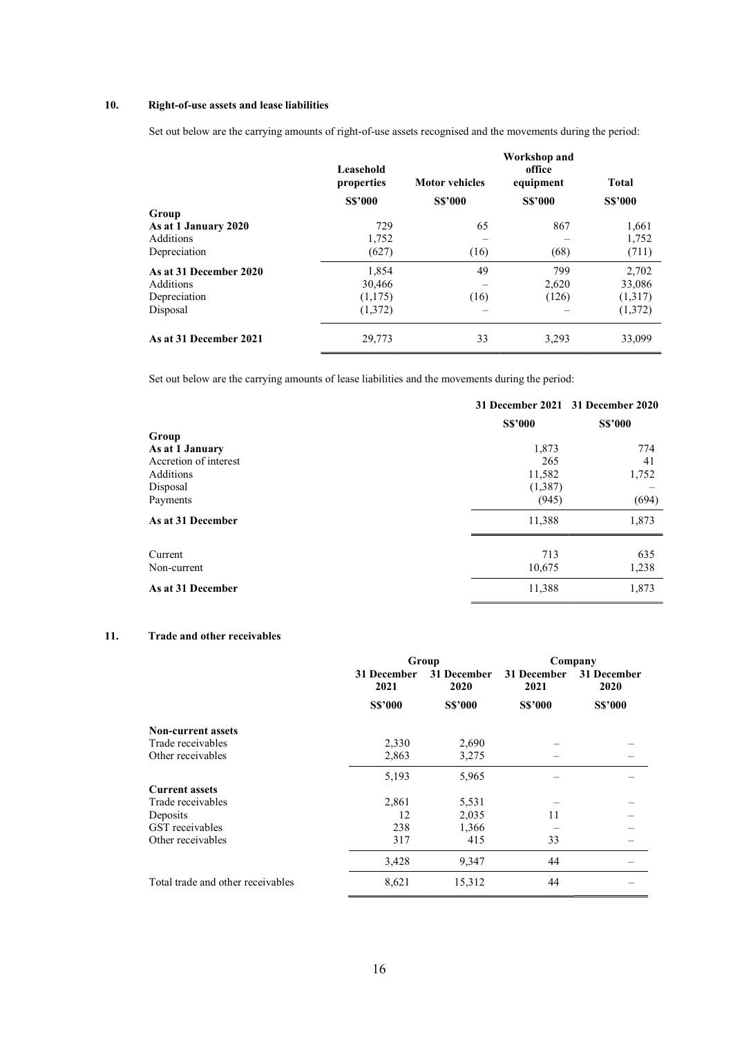# 10. Right-of-use assets and lease liabilities

Set out below are the carrying amounts of right-of-use assets recognised and the movements during the period:

|                        | Leasehold<br>properties | <b>Motor vehicles</b> | Workshop and<br>office<br>equipment | <b>Total</b>   |
|------------------------|-------------------------|-----------------------|-------------------------------------|----------------|
|                        | <b>S\$'000</b>          | <b>S\$'000</b>        | <b>S\$'000</b>                      | <b>S\$'000</b> |
| Group                  |                         |                       |                                     |                |
| As at 1 January 2020   | 729                     | 65                    | 867                                 | 1,661          |
| Additions              | 1,752                   |                       |                                     | 1,752          |
| Depreciation           | (627)                   | (16)                  | (68)                                | (711)          |
| As at 31 December 2020 | 1.854                   | 49                    | 799                                 | 2,702          |
| Additions              | 30,466                  |                       | 2,620                               | 33,086         |
| Depreciation           | (1,175)                 | (16)                  | (126)                               | (1,317)        |
| Disposal               | (1,372)                 | —                     |                                     | (1,372)        |
| As at 31 December 2021 | 29,773                  | 33                    | 3,293                               | 33,099         |

Set out below are the carrying amounts of lease liabilities and the movements during the period:

|                       |                | 31 December 2021 31 December 2020 |  |
|-----------------------|----------------|-----------------------------------|--|
|                       | <b>S\$'000</b> |                                   |  |
| Group                 |                |                                   |  |
| As at 1 January       | 1,873          | 774                               |  |
| Accretion of interest | 265            | 41                                |  |
| Additions             | 11,582         | 1,752                             |  |
| Disposal              | (1,387)        |                                   |  |
| Payments              | (945)          | (694)                             |  |
| As at 31 December     | 11,388         | 1,873                             |  |
| Current               | 713            | 635                               |  |
| Non-current           | 10,675         | 1,238                             |  |
| As at 31 December     | 11,388         | 1,873                             |  |

# 11. Trade and other receivables

|                                   |                     | Group               | Company             |                     |
|-----------------------------------|---------------------|---------------------|---------------------|---------------------|
|                                   | 31 December<br>2021 | 31 December<br>2020 | 31 December<br>2021 | 31 December<br>2020 |
|                                   | <b>S\$'000</b>      | <b>S\$'000</b>      | <b>S\$'000</b>      | <b>S\$'000</b>      |
| <b>Non-current assets</b>         |                     |                     |                     |                     |
| Trade receivables                 | 2,330               | 2,690               |                     |                     |
| Other receivables                 | 2,863               | 3,275               |                     |                     |
|                                   | 5,193               | 5,965               |                     |                     |
| <b>Current assets</b>             |                     |                     |                     |                     |
| Trade receivables                 | 2,861               | 5,531               |                     |                     |
| Deposits                          | 12                  | 2,035               | 11                  |                     |
| GST receivables                   | 238                 | 1,366               |                     |                     |
| Other receivables                 | 317                 | 415                 | 33                  |                     |
|                                   | 3,428               | 9,347               | 44                  |                     |
| Total trade and other receivables | 8,621               | 15,312              | 44                  |                     |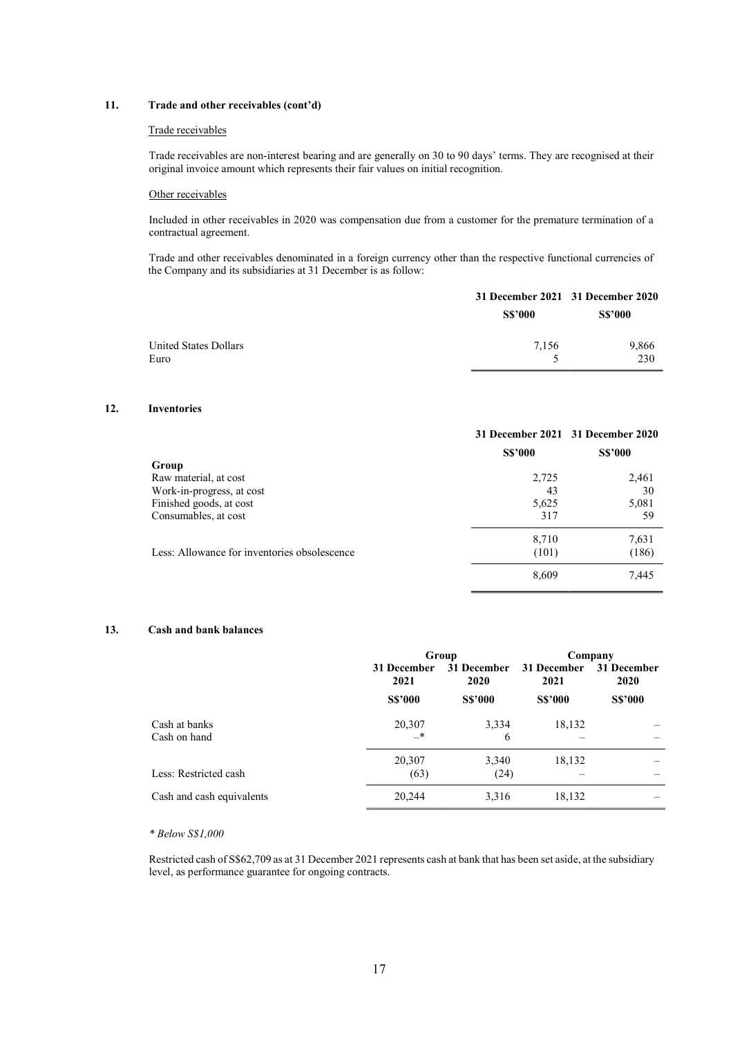# 11. Trade and other receivables (cont'd)

#### Trade receivables

Trade receivables are non-interest bearing and are generally on 30 to 90 days' terms. They are recognised at their original invoice amount which represents their fair values on initial recognition.

#### Other receivables

Included in other receivables in 2020 was compensation due from a customer for the premature termination of a contractual agreement.

Trade and other receivables denominated in a foreign currency other than the respective functional currencies of the Company and its subsidiaries at 31 December is as follow:

|                               | 31 December 2021 31 December 2020 |                |  |
|-------------------------------|-----------------------------------|----------------|--|
|                               | <b>S\$'000</b>                    | <b>S\$'000</b> |  |
| United States Dollars<br>Euro | 7.156                             | 9,866<br>230   |  |
|                               |                                   |                |  |

# 12. Inventories

|                                              |                | 31 December 2021 31 December 2020 |
|----------------------------------------------|----------------|-----------------------------------|
|                                              | <b>S\$'000</b> | <b>S\$'000</b>                    |
| Group                                        |                |                                   |
| Raw material, at cost                        | 2,725          | 2,461                             |
| Work-in-progress, at cost                    | 43             | 30                                |
| Finished goods, at cost                      | 5,625          | 5,081                             |
| Consumables, at cost                         | 317            | 59                                |
|                                              | 8,710          | 7,631                             |
| Less: Allowance for inventories obsolescence | (101)          | (186)                             |
|                                              | 8,609          | 7,445                             |

# 13. Cash and bank balances

|                               | Group                                      |                | Company             |                     |
|-------------------------------|--------------------------------------------|----------------|---------------------|---------------------|
|                               | 31 December<br>31 December<br>2021<br>2020 |                | 31 December<br>2021 | 31 December<br>2020 |
|                               | <b>S\$'000</b>                             | <b>S\$'000</b> | <b>S\$'000</b>      | <b>S\$'000</b>      |
| Cash at banks<br>Cash on hand | 20,307<br>—*                               | 3,334<br>6     | 18,132              |                     |
| Less: Restricted cash         | 20,307<br>(63)                             | 3,340<br>(24)  | 18,132              |                     |
| Cash and cash equivalents     | 20,244                                     | 3,316          | 18,132              |                     |

#### \* Below S\$1,000

Restricted cash of S\$62,709 as at 31 December 2021 represents cash at bank that has been set aside, at the subsidiary level, as performance guarantee for ongoing contracts.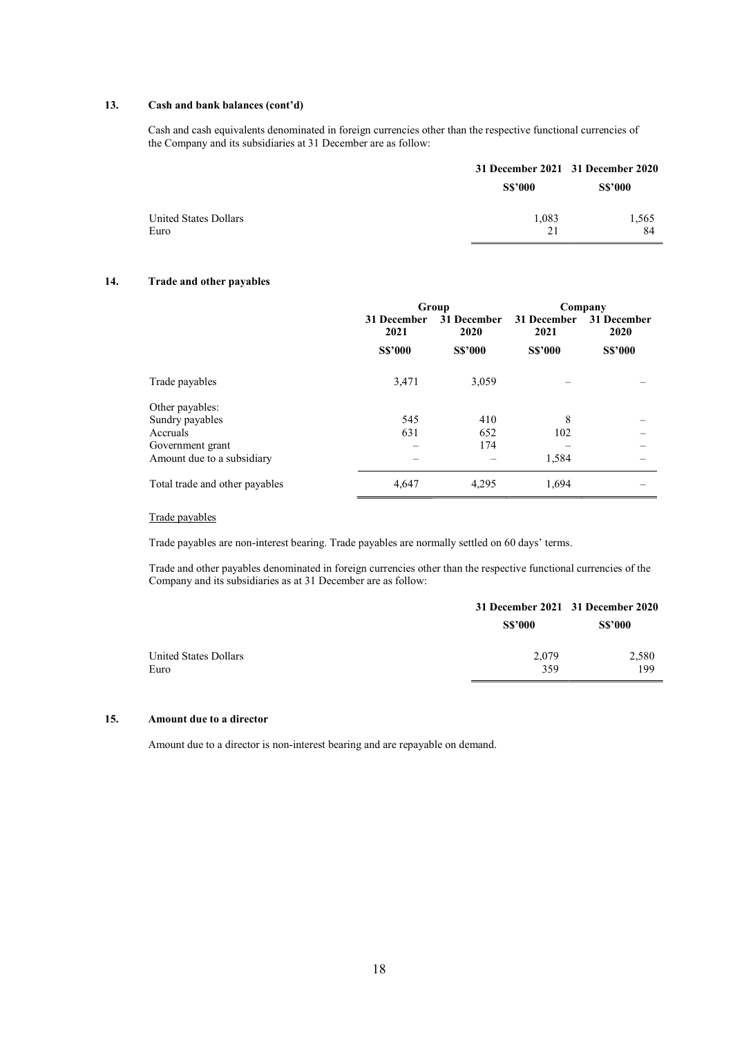# 13. Cash and bank balances (cont'd)

Cash and cash equivalents denominated in foreign currencies other than the respective functional currencies of the Company and its subsidiaries at 31 December are as follow:

|                               |                | 31 December 2021 31 December 2020 |  |  |
|-------------------------------|----------------|-----------------------------------|--|--|
|                               | <b>S\$'000</b> | <b>S\$'000</b>                    |  |  |
| United States Dollars<br>Euro | 1,083<br>21    | 1,565<br>84                       |  |  |

# 14. Trade and other payables

|                                |                     | Group               | Company             |                     |  |
|--------------------------------|---------------------|---------------------|---------------------|---------------------|--|
|                                | 31 December<br>2021 | 31 December<br>2020 | 31 December<br>2021 | 31 December<br>2020 |  |
|                                | <b>S\$'000</b>      | <b>S\$'000</b>      | <b>S\$'000</b>      | <b>S\$'000</b>      |  |
| Trade payables                 | 3,471               | 3,059               |                     |                     |  |
| Other payables:                |                     |                     |                     |                     |  |
| Sundry payables                | 545                 | 410                 | 8                   |                     |  |
| Accruals                       | 631                 | 652                 | 102                 |                     |  |
| Government grant               |                     | 174                 |                     |                     |  |
| Amount due to a subsidiary     |                     |                     | 1,584               |                     |  |
| Total trade and other payables | 4,647               | 4,295               | 1,694               |                     |  |

# Trade payables

Trade payables are non-interest bearing. Trade payables are normally settled on 60 days' terms.

Trade and other payables denominated in foreign currencies other than the respective functional currencies of the Company and its subsidiaries as at 31 December are as follow:

|                               | 31 December 2021 31 December 2020 |                |  |  |
|-------------------------------|-----------------------------------|----------------|--|--|
|                               | <b>S\$'000</b>                    | <b>S\$'000</b> |  |  |
| United States Dollars<br>Euro | 2,079<br>359                      | 2,580<br>199   |  |  |

# 15. Amount due to a director

Amount due to a director is non-interest bearing and are repayable on demand.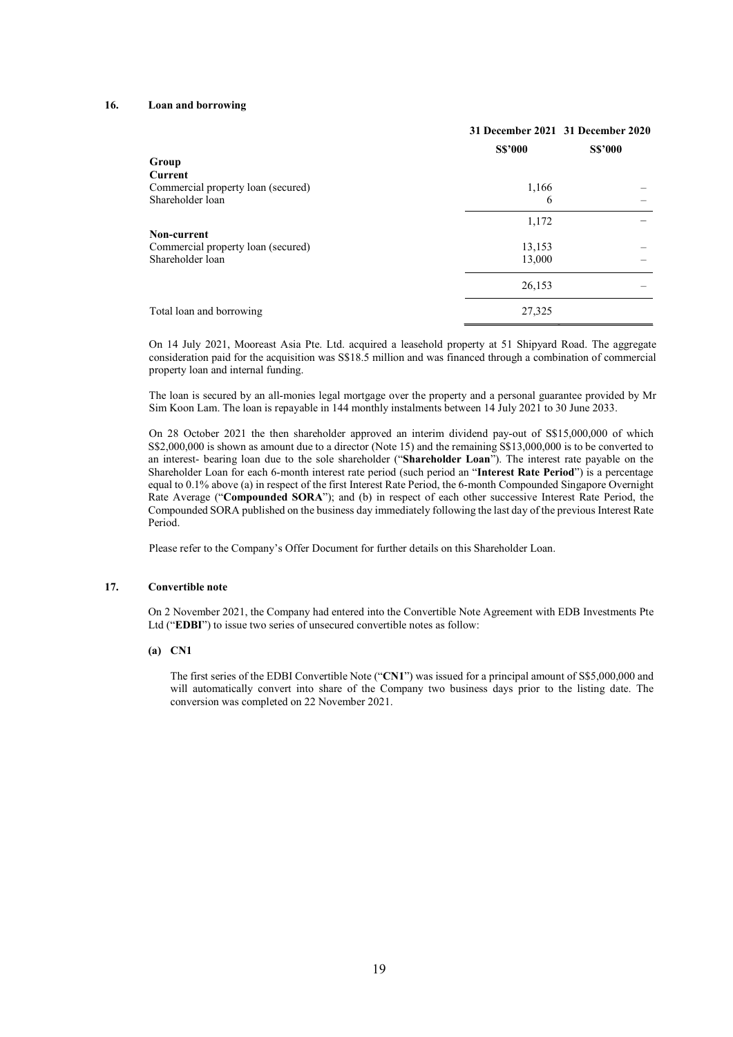# 16. Loan and borrowing

|                                    | 31 December 2021 31 December 2020 |                |  |
|------------------------------------|-----------------------------------|----------------|--|
|                                    | <b>S\$'000</b>                    | <b>S\$'000</b> |  |
| Group                              |                                   |                |  |
| Current                            |                                   |                |  |
| Commercial property loan (secured) | 1,166                             |                |  |
| Shareholder loan                   | 6                                 |                |  |
|                                    | 1,172                             |                |  |
| Non-current                        |                                   |                |  |
| Commercial property loan (secured) | 13,153                            |                |  |
| Shareholder loan                   | 13,000                            |                |  |
|                                    | 26,153                            |                |  |
| Total loan and borrowing           | 27,325                            |                |  |

On 14 July 2021, Mooreast Asia Pte. Ltd. acquired a leasehold property at 51 Shipyard Road. The aggregate consideration paid for the acquisition was S\$18.5 million and was financed through a combination of commercial property loan and internal funding.

The loan is secured by an all-monies legal mortgage over the property and a personal guarantee provided by Mr Sim Koon Lam. The loan is repayable in 144 monthly instalments between 14 July 2021 to 30 June 2033.

On 28 October 2021 the then shareholder approved an interim dividend pay-out of S\$15,000,000 of which S\$2,000,000 is shown as amount due to a director (Note 15) and the remaining S\$13,000,000 is to be converted to an interest- bearing loan due to the sole shareholder ("Shareholder Loan"). The interest rate payable on the Shareholder Loan for each 6-month interest rate period (such period an "Interest Rate Period") is a percentage equal to 0.1% above (a) in respect of the first Interest Rate Period, the 6-month Compounded Singapore Overnight Rate Average ("Compounded SORA"); and (b) in respect of each other successive Interest Rate Period, the Compounded SORA published on the business day immediately following the last day of the previous Interest Rate Period.

Please refer to the Company's Offer Document for further details on this Shareholder Loan.

# 17. Convertible note

On 2 November 2021, the Company had entered into the Convertible Note Agreement with EDB Investments Pte Ltd ("EDBI") to issue two series of unsecured convertible notes as follow:

#### (a) CN1

The first series of the EDBI Convertible Note ("CN1") was issued for a principal amount of S\$5,000,000 and will automatically convert into share of the Company two business days prior to the listing date. The conversion was completed on 22 November 2021.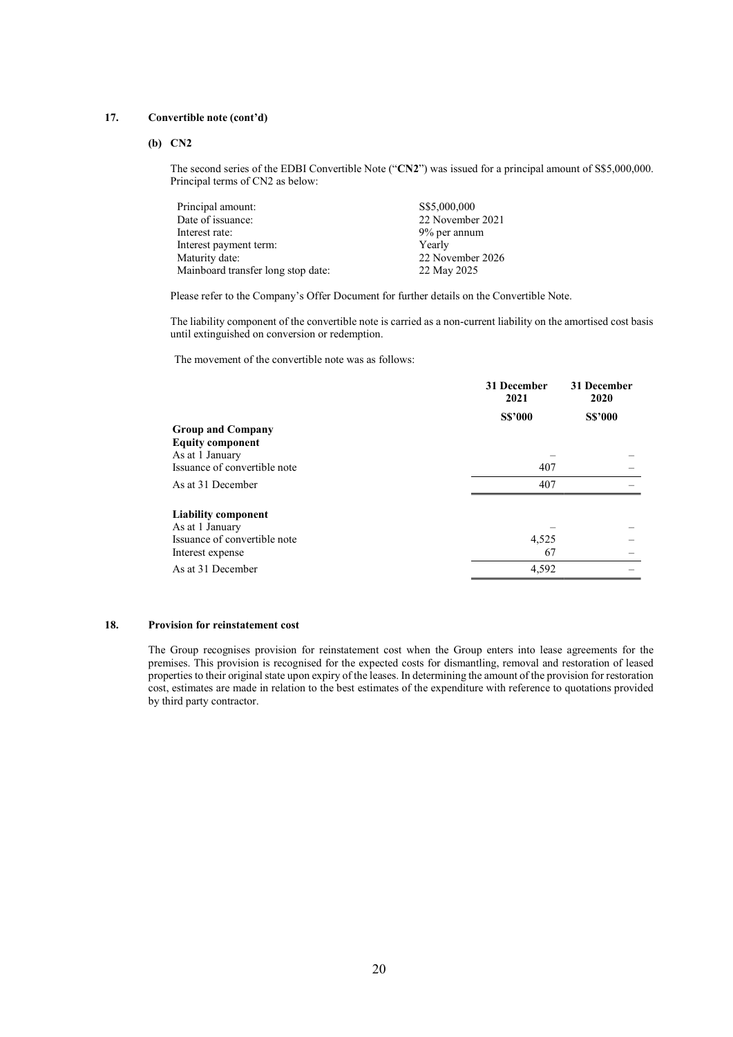## 17. Convertible note (cont'd)

## (b) CN2

The second series of the EDBI Convertible Note ("CN2") was issued for a principal amount of S\$5,000,000. Principal terms of CN2 as below:

| Principal amount:                  | S\$5,000,000     |
|------------------------------------|------------------|
| Date of issuance:                  | 22 November 2021 |
| Interest rate:                     | 9% per annum     |
| Interest payment term:             | Yearly           |
| Maturity date:                     | 22 November 2026 |
| Mainboard transfer long stop date: | 22 May 2025      |

Please refer to the Company's Offer Document for further details on the Convertible Note.

The liability component of the convertible note is carried as a non-current liability on the amortised cost basis until extinguished on conversion or redemption.

The movement of the convertible note was as follows:

|                              | 31 December<br>2021 | 31 December<br>2020 |
|------------------------------|---------------------|---------------------|
|                              | <b>S\$'000</b>      | <b>S\$'000</b>      |
| <b>Group and Company</b>     |                     |                     |
| <b>Equity component</b>      |                     |                     |
| As at 1 January              |                     |                     |
| Issuance of convertible note | 407                 |                     |
| As at 31 December            | 407                 |                     |
| <b>Liability component</b>   |                     |                     |
| As at 1 January              |                     |                     |
| Issuance of convertible note | 4,525               |                     |
| Interest expense             | 67                  |                     |
| As at 31 December            | 4,592               |                     |

## 18. Provision for reinstatement cost

The Group recognises provision for reinstatement cost when the Group enters into lease agreements for the premises. This provision is recognised for the expected costs for dismantling, removal and restoration of leased properties to their original state upon expiry of the leases. In determining the amount of the provision for restoration cost, estimates are made in relation to the best estimates of the expenditure with reference to quotations provided by third party contractor.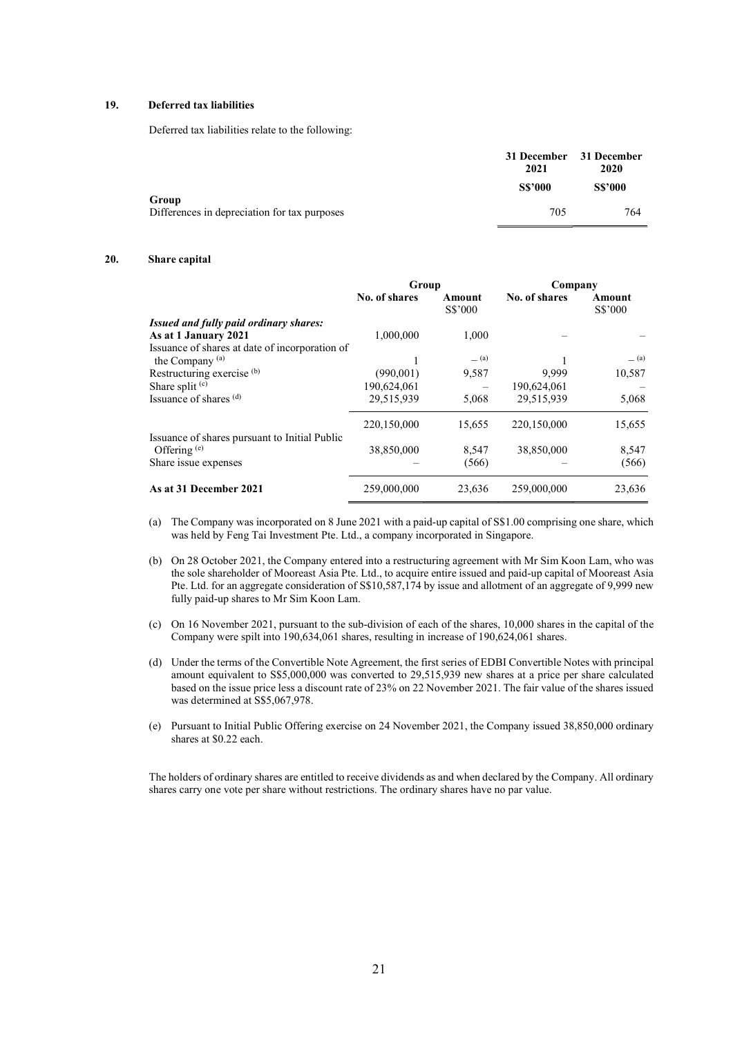## 19. Deferred tax liabilities

Deferred tax liabilities relate to the following:

|                                                       | 31 December 31 December<br>2021<br><b>S\$'000</b> | 2020<br><b>S\$'000</b> |  |
|-------------------------------------------------------|---------------------------------------------------|------------------------|--|
| Group<br>Differences in depreciation for tax purposes | 705                                               | 764                    |  |
|                                                       |                                                   |                        |  |

#### 20. Share capital

|                                                                 | Group         |                   | Company       |                   |  |
|-----------------------------------------------------------------|---------------|-------------------|---------------|-------------------|--|
|                                                                 | No. of shares | Amount<br>S\$'000 | No. of shares | Amount<br>S\$'000 |  |
| <i>Issued and fully paid ordinary shares:</i>                   |               |                   |               |                   |  |
| As at 1 January 2021                                            | 1,000,000     | 1,000             |               |                   |  |
| Issuance of shares at date of incorporation of                  |               |                   |               |                   |  |
| the Company $(a)$                                               |               | $=$ (a)           |               | $=$ (a)           |  |
| Restructuring exercise <sup>(b)</sup>                           | (990,001)     | 9,587             | 9.999         | 10,587            |  |
| Share split $(c)$                                               | 190,624,061   |                   | 190,624,061   |                   |  |
| Issuance of shares (d)                                          | 29,515,939    | 5,068             | 29,515,939    | 5,068             |  |
|                                                                 | 220,150,000   | 15,655            | 220,150,000   | 15,655            |  |
| Issuance of shares pursuant to Initial Public<br>Offering $(e)$ | 38,850,000    | 8,547             | 38,850,000    | 8,547             |  |
| Share issue expenses                                            |               | (566)             |               | (566)             |  |
| As at 31 December 2021                                          | 259,000,000   | 23,636            | 259,000,000   | 23,636            |  |

(a) The Company was incorporated on 8 June 2021 with a paid-up capital of S\$1.00 comprising one share, which was held by Feng Tai Investment Pte. Ltd., a company incorporated in Singapore.

- (b) On 28 October 2021, the Company entered into a restructuring agreement with Mr Sim Koon Lam, who was the sole shareholder of Mooreast Asia Pte. Ltd., to acquire entire issued and paid-up capital of Mooreast Asia Pte. Ltd. for an aggregate consideration of S\$10,587,174 by issue and allotment of an aggregate of 9,999 new fully paid-up shares to Mr Sim Koon Lam.
- (c) On 16 November 2021, pursuant to the sub-division of each of the shares, 10,000 shares in the capital of the Company were spilt into 190,634,061 shares, resulting in increase of 190,624,061 shares.
- (d) Under the terms of the Convertible Note Agreement, the first series of EDBI Convertible Notes with principal amount equivalent to S\$5,000,000 was converted to 29,515,939 new shares at a price per share calculated based on the issue price less a discount rate of 23% on 22 November 2021. The fair value of the shares issued was determined at S\$5,067,978.
- (e) Pursuant to Initial Public Offering exercise on 24 November 2021, the Company issued 38,850,000 ordinary shares at \$0.22 each.

The holders of ordinary shares are entitled to receive dividends as and when declared by the Company. All ordinary shares carry one vote per share without restrictions. The ordinary shares have no par value.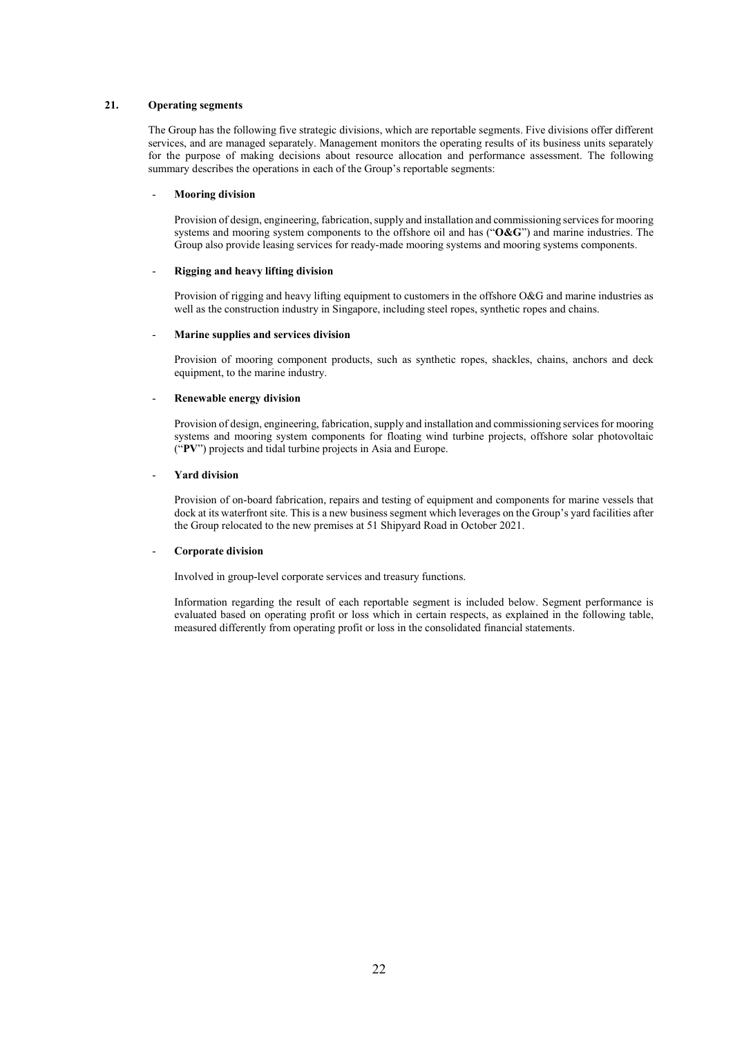## 21. Operating segments

The Group has the following five strategic divisions, which are reportable segments. Five divisions offer different services, and are managed separately. Management monitors the operating results of its business units separately for the purpose of making decisions about resource allocation and performance assessment. The following summary describes the operations in each of the Group's reportable segments:

#### Mooring division

Provision of design, engineering, fabrication, supply and installation and commissioning services for mooring systems and mooring system components to the offshore oil and has (" $O&G$ ") and marine industries. The Group also provide leasing services for ready-made mooring systems and mooring systems components.

#### Rigging and heavy lifting division

Provision of rigging and heavy lifting equipment to customers in the offshore O&G and marine industries as well as the construction industry in Singapore, including steel ropes, synthetic ropes and chains.

#### - Marine supplies and services division

Provision of mooring component products, such as synthetic ropes, shackles, chains, anchors and deck equipment, to the marine industry.

#### Renewable energy division

Provision of design, engineering, fabrication, supply and installation and commissioning services for mooring systems and mooring system components for floating wind turbine projects, offshore solar photovoltaic ("PV") projects and tidal turbine projects in Asia and Europe.

#### - Yard division

Provision of on-board fabrication, repairs and testing of equipment and components for marine vessels that dock at its waterfront site. This is a new business segment which leverages on the Group's yard facilities after the Group relocated to the new premises at 51 Shipyard Road in October 2021.

#### Corporate division

Involved in group-level corporate services and treasury functions.

Information regarding the result of each reportable segment is included below. Segment performance is evaluated based on operating profit or loss which in certain respects, as explained in the following table, measured differently from operating profit or loss in the consolidated financial statements.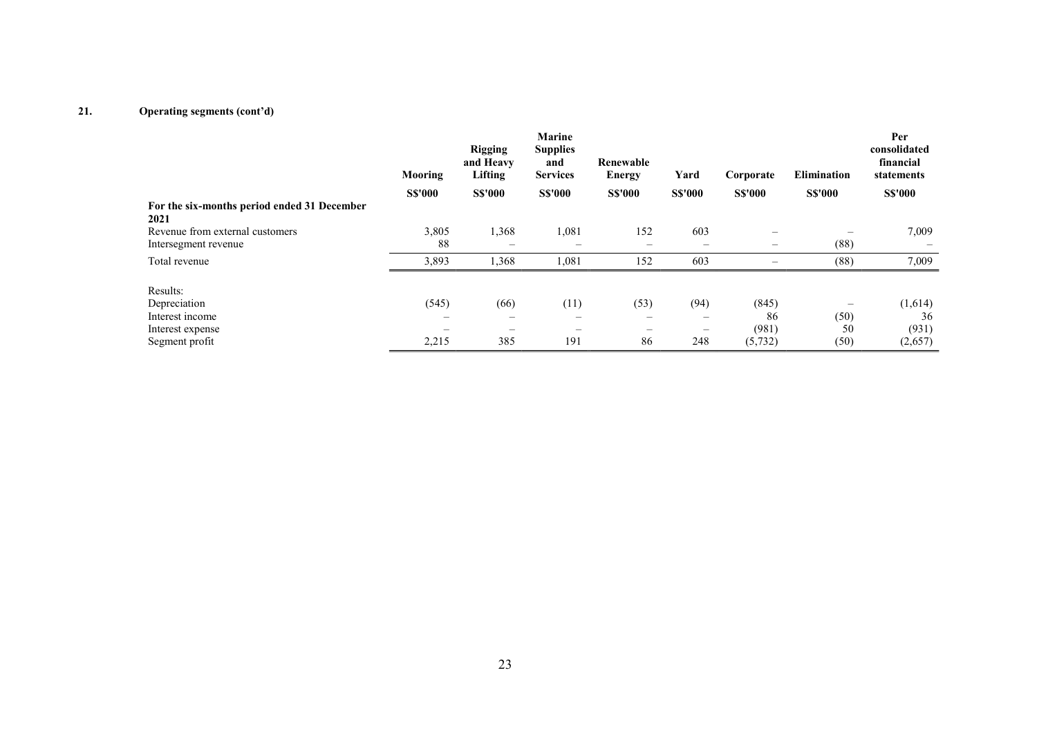|                                                     | Mooring                  | <b>Rigging</b><br>and Heavy<br>Lifting | Marine<br><b>Supplies</b><br>and<br><b>Services</b> | Renewable<br><b>Energy</b>     | Yard                     | Corporate                       | <b>Elimination</b> | Per<br>consolidated<br>financial<br>statements |
|-----------------------------------------------------|--------------------------|----------------------------------------|-----------------------------------------------------|--------------------------------|--------------------------|---------------------------------|--------------------|------------------------------------------------|
|                                                     | <b>S\$'000</b>           | <b>S\$'000</b>                         | <b>S\$'000</b>                                      | <b>S\$'000</b>                 | <b>S\$'000</b>           | <b>S\$'000</b>                  | <b>S\$'000</b>     | <b>S\$'000</b>                                 |
| For the six-months period ended 31 December<br>2021 |                          |                                        |                                                     |                                |                          |                                 |                    |                                                |
| Revenue from external customers                     | 3,805                    | 1,368                                  | 1,081                                               | 152                            | 603                      | $\hspace{0.1mm}-\hspace{0.1mm}$ |                    | 7,009                                          |
| Intersegment revenue                                | 88                       | $\overline{\phantom{a}}$               | $\overline{\phantom{0}}$                            | $\qquad \qquad \longleftarrow$ | $\overline{\phantom{m}}$ | $\hspace{0.1mm}-\hspace{0.1mm}$ | (88)               |                                                |
| Total revenue                                       | 3,893                    | 1,368                                  | 1,081                                               | 152                            | 603                      | $\overline{\phantom{0}}$        | (88)               | 7,009                                          |
| Results:                                            |                          |                                        |                                                     |                                |                          |                                 |                    |                                                |
| Depreciation                                        | (545)                    | (66)                                   | (11)                                                | (53)                           | (94)                     | (845)                           |                    | (1,614)                                        |
| Interest income                                     | $\overline{\phantom{m}}$ | $\overline{\phantom{a}}$               | $\overline{\phantom{a}}$                            | $\overline{\phantom{0}}$       | $\overline{\phantom{m}}$ | 86                              | (50)               | 36                                             |
| Interest expense                                    |                          |                                        | —                                                   |                                | —                        | (981)                           | 50                 | (931)                                          |
| Segment profit                                      | 2,215                    | 385                                    | 191                                                 | 86                             | 248                      | (5, 732)                        | (50)               | (2,657)                                        |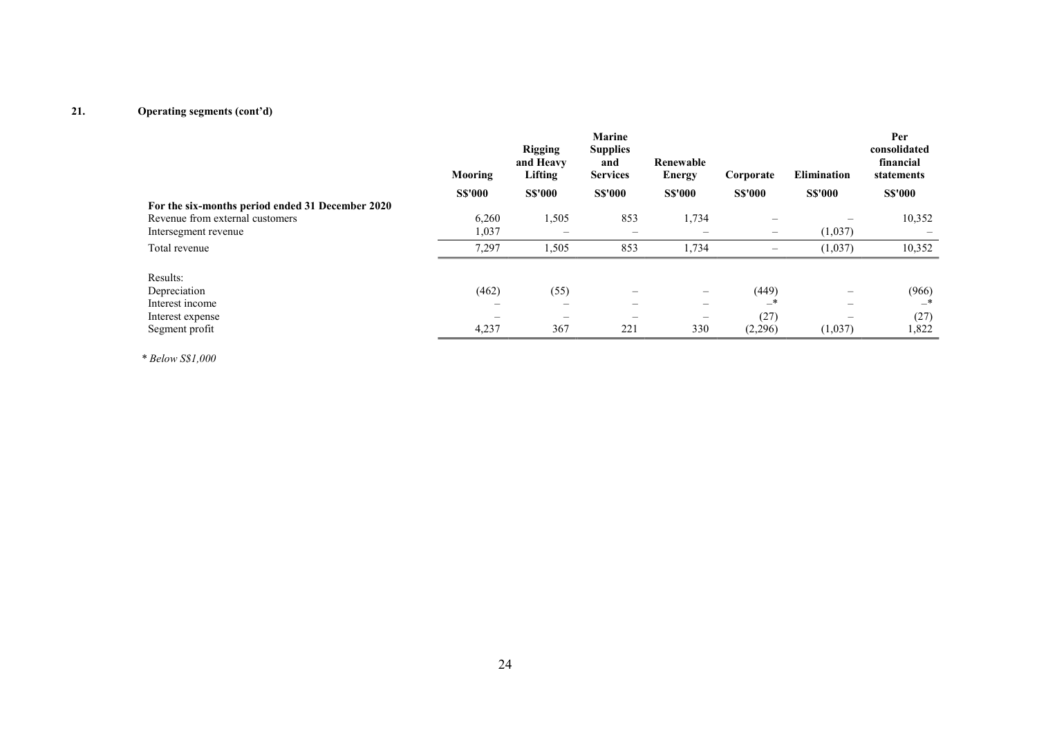|                                                  | Mooring<br><b>S\$'000</b>      | <b>Rigging</b><br>and Heavy<br>Lifting<br><b>S\$'000</b> | <b>Marine</b><br><b>Supplies</b><br>and<br><b>Services</b><br><b>S\$'000</b> | Renewable<br>Energy<br><b>S\$'000</b> | Corporate<br><b>S\$'000</b> | <b>Elimination</b><br><b>S\$'000</b> | Per<br>consolidated<br>financial<br>statements<br><b>S\$'000</b> |
|--------------------------------------------------|--------------------------------|----------------------------------------------------------|------------------------------------------------------------------------------|---------------------------------------|-----------------------------|--------------------------------------|------------------------------------------------------------------|
| For the six-months period ended 31 December 2020 |                                |                                                          |                                                                              |                                       |                             |                                      |                                                                  |
| Revenue from external customers                  | 6,260                          | 1,505                                                    | 853                                                                          | 1,734                                 | -                           |                                      | 10,352                                                           |
| Intersegment revenue                             | 1,037                          |                                                          | -                                                                            |                                       | $\overline{\phantom{m}}$    | (1,037)                              |                                                                  |
| Total revenue                                    | 7,297                          | 1,505                                                    | 853                                                                          | 1,734                                 | $\overline{\phantom{m}}$    | (1,037)                              | 10,352                                                           |
| Results:                                         |                                |                                                          |                                                                              |                                       |                             |                                      |                                                                  |
| Depreciation                                     | (462)                          | (55)                                                     |                                                                              |                                       | (449)                       |                                      | (966)                                                            |
| Interest income                                  | $\qquad \qquad \longleftarrow$ | $\overline{\phantom{0}}$                                 | -                                                                            | $\overline{\phantom{0}}$              | $-$ *                       | -                                    | —*                                                               |
| Interest expense                                 |                                |                                                          | $\overline{\phantom{m}}$                                                     | —                                     | (27)                        |                                      | (27)                                                             |
| Segment profit                                   | 4,237                          | 367                                                      | 221                                                                          | 330                                   | (2,296)                     | (1,037)                              | 1,822                                                            |

\* Below S\$1,000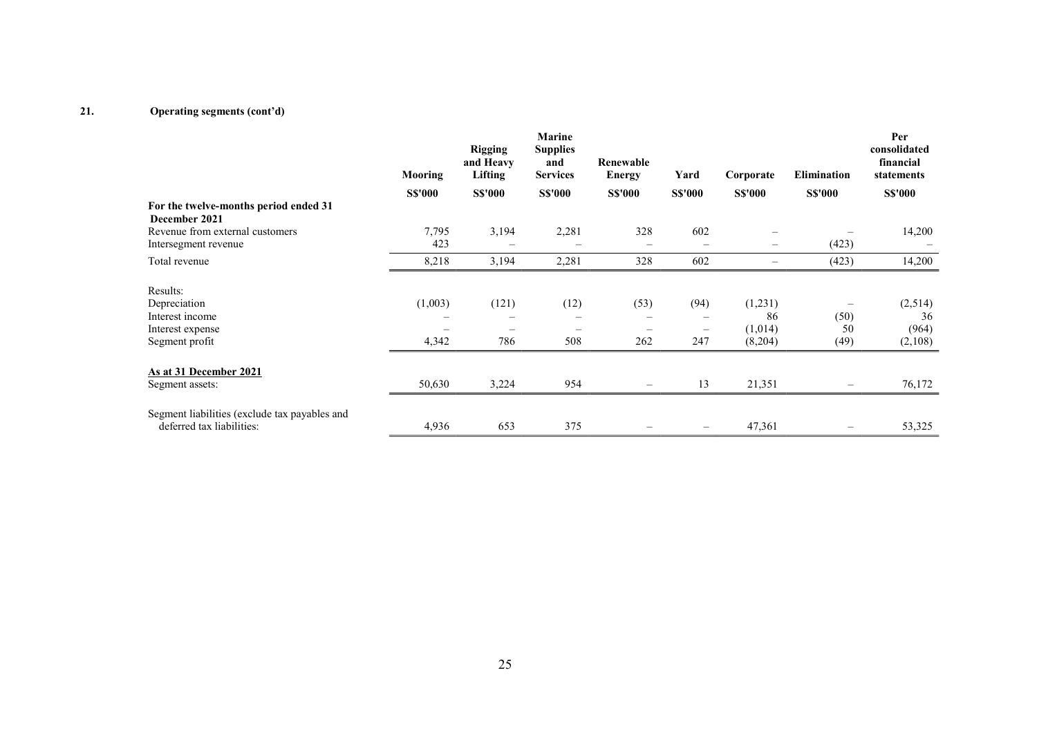|                                                                                   | Mooring          | <b>Rigging</b><br>and Heavy<br>Lifting          | <b>Marine</b><br><b>Supplies</b><br>and<br><b>Services</b> | Renewable<br><b>Energy</b>              | Yard                                    | Corporate                           | <b>Elimination</b>                             | Per<br>consolidated<br>financial<br>statements |
|-----------------------------------------------------------------------------------|------------------|-------------------------------------------------|------------------------------------------------------------|-----------------------------------------|-----------------------------------------|-------------------------------------|------------------------------------------------|------------------------------------------------|
|                                                                                   | <b>S\$'000</b>   | <b>S\$'000</b>                                  | <b>S\$'000</b>                                             | <b>S\$'000</b>                          | <b>S\$'000</b>                          | <b>S\$'000</b>                      | <b>S\$'000</b>                                 | <b>S\$'000</b>                                 |
| For the twelve-months period ended 31<br>December 2021                            |                  |                                                 |                                                            |                                         |                                         |                                     |                                                |                                                |
| Revenue from external customers<br>Intersegment revenue                           | 7,795<br>423     | 3,194<br>$\hspace{0.1mm}-\hspace{0.1mm}$        | 2,281<br>$\qquad \qquad$                                   | 328<br>$\qquad \qquad =$                | 602<br>$\qquad \qquad -$                | $\frac{1}{2}$                       | (423)                                          | 14,200                                         |
| Total revenue                                                                     | 8,218            | 3,194                                           | 2,281                                                      | 328                                     | 602                                     | $\overline{\phantom{m}}$            | (423)                                          | 14,200                                         |
| Results:<br>Depreciation<br>Interest income<br>Interest expense<br>Segment profit | (1,003)<br>4,342 | (121)<br>$\hspace{0.1mm}-\hspace{0.1mm}$<br>786 | (12)<br>$\qquad \qquad$<br>508                             | (53)<br>$\overline{\phantom{m}}$<br>262 | (94)<br>$\overline{\phantom{m}}$<br>247 | (1,231)<br>86<br>(1,014)<br>(8,204) | $\overline{\phantom{0}}$<br>(50)<br>50<br>(49) | (2,514)<br>36<br>(964)<br>(2,108)              |
| As at 31 December 2021<br>Segment assets:                                         | 50,630           | 3,224                                           | 954                                                        | $\overline{\phantom{m}}$                | 13                                      | 21,351                              | $\overline{\phantom{0}}$                       | 76,172                                         |
| Segment liabilities (exclude tax payables and<br>deferred tax liabilities:        | 4,936            | 653                                             | 375                                                        |                                         |                                         | 47,361                              |                                                | 53,325                                         |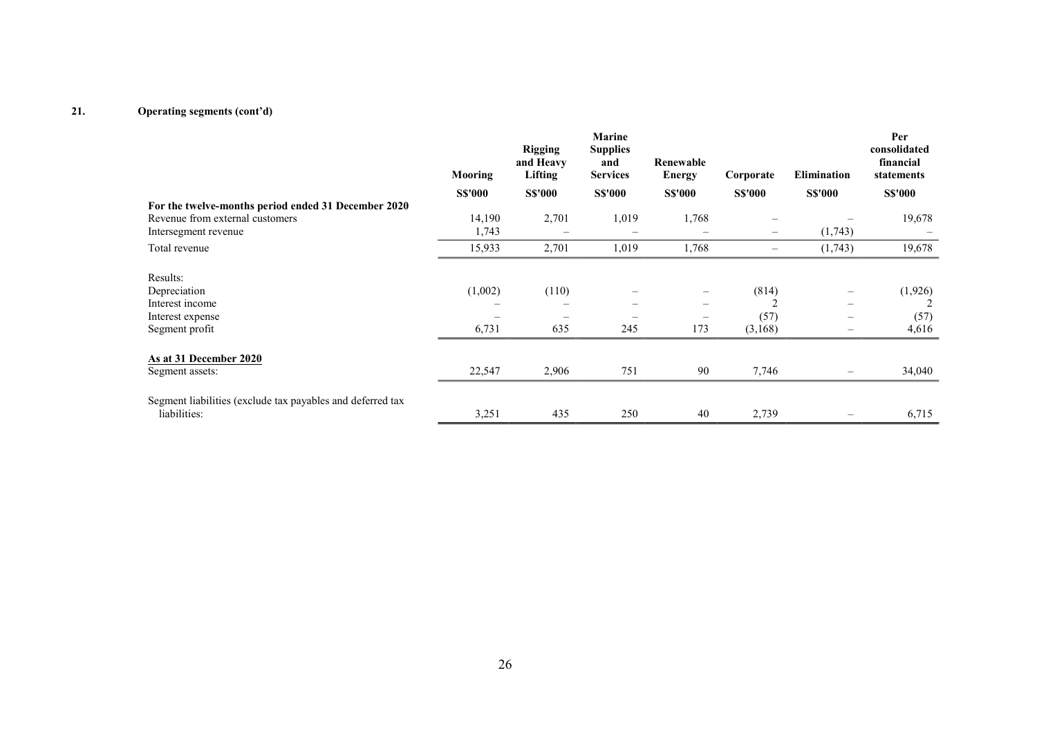|                                                            | Mooring        | <b>Rigging</b><br>and Heavy<br>Lifting | <b>Marine</b><br><b>Supplies</b><br>and<br><b>Services</b> | Renewable<br><b>Energy</b> | Corporate         | <b>Elimination</b>             | Per<br>consolidated<br>financial<br>statements |
|------------------------------------------------------------|----------------|----------------------------------------|------------------------------------------------------------|----------------------------|-------------------|--------------------------------|------------------------------------------------|
|                                                            | <b>S\$'000</b> | <b>S\$'000</b>                         | <b>S\$'000</b>                                             | <b>S\$'000</b>             | <b>S\$'000</b>    | <b>S\$'000</b>                 | <b>S\$'000</b>                                 |
| For the twelve-months period ended 31 December 2020        |                |                                        |                                                            |                            |                   |                                |                                                |
| Revenue from external customers                            | 14,190         | 2,701                                  | 1,019                                                      | 1,768                      | $\frac{1}{2}$     |                                | 19,678                                         |
| Intersegment revenue                                       | 1,743          |                                        |                                                            |                            | $\qquad \qquad -$ | (1,743)                        |                                                |
| Total revenue                                              | 15,933         | 2,701                                  | 1,019                                                      | 1,768                      | $\equiv$          | (1,743)                        | 19,678                                         |
| Results:                                                   |                |                                        |                                                            |                            |                   |                                |                                                |
| Depreciation                                               | (1,002)        | (110)                                  |                                                            | -                          | (814)             | $\overline{\phantom{0}}$       | (1,926)                                        |
| Interest income                                            |                |                                        |                                                            |                            |                   | $\qquad \qquad \longleftarrow$ |                                                |
| Interest expense                                           |                |                                        |                                                            |                            | (57)              | $\equiv$                       | (57)                                           |
| Segment profit                                             | 6,731          | 635                                    | 245                                                        | 173                        | (3,168)           | -                              | 4,616                                          |
| As at 31 December 2020                                     |                |                                        |                                                            |                            |                   |                                |                                                |
| Segment assets:                                            | 22,547         | 2,906                                  | 751                                                        | 90                         | 7,746             | $\overline{\phantom{0}}$       | 34,040                                         |
| Segment liabilities (exclude tax payables and deferred tax |                |                                        |                                                            |                            |                   |                                |                                                |
| liabilities:                                               | 3,251          | 435                                    | 250                                                        | 40                         | 2,739             |                                | 6,715                                          |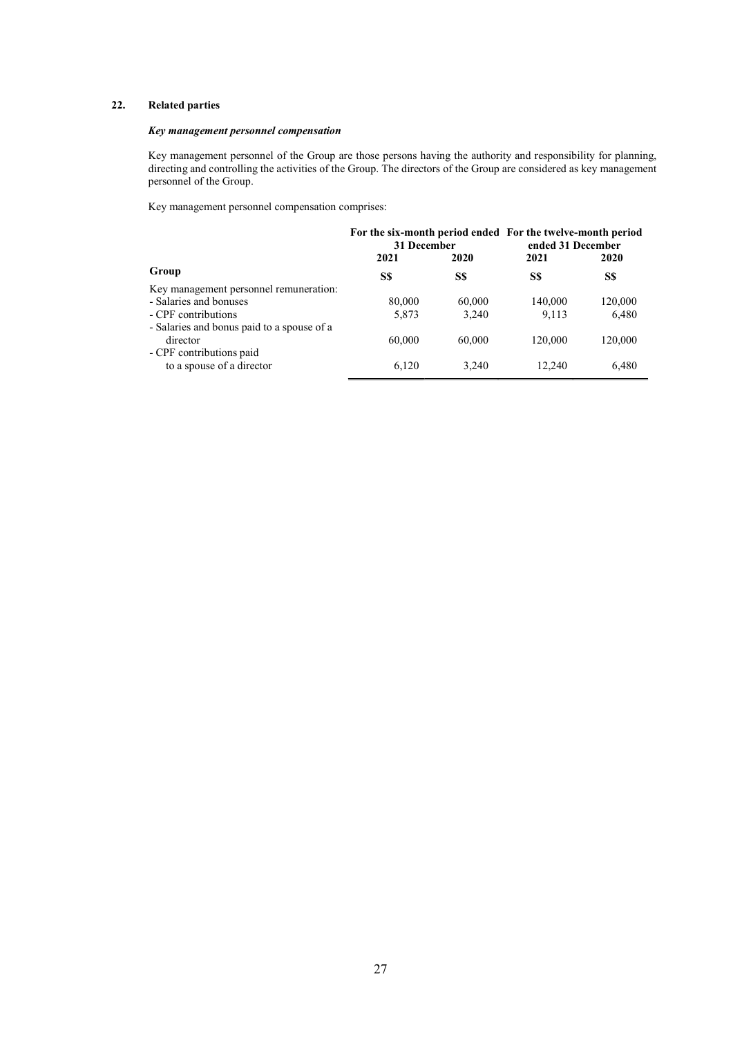# 22. Related parties

# Key management personnel compensation

Key management personnel of the Group are those persons having the authority and responsibility for planning, directing and controlling the activities of the Group. The directors of the Group are considered as key management personnel of the Group.

Key management personnel compensation comprises:

|                                            | For the six-month period ended For the twelve-month period<br>31 December |        | ended 31 December |             |
|--------------------------------------------|---------------------------------------------------------------------------|--------|-------------------|-------------|
|                                            | 2021<br>2020                                                              |        | 2021              | <b>2020</b> |
| Group                                      | S\$                                                                       | S\$    | S\$               | S\$         |
| Key management personnel remuneration:     |                                                                           |        |                   |             |
| - Salaries and bonuses                     | 80,000                                                                    | 60,000 | 140,000           | 120,000     |
| - CPF contributions                        | 5,873                                                                     | 3,240  | 9,113             | 6,480       |
| - Salaries and bonus paid to a spouse of a |                                                                           |        |                   |             |
| director                                   | 60,000                                                                    | 60,000 | 120,000           | 120,000     |
| - CPF contributions paid                   |                                                                           |        |                   |             |
| to a spouse of a director                  | 6,120                                                                     | 3.240  | 12.240            | 6,480       |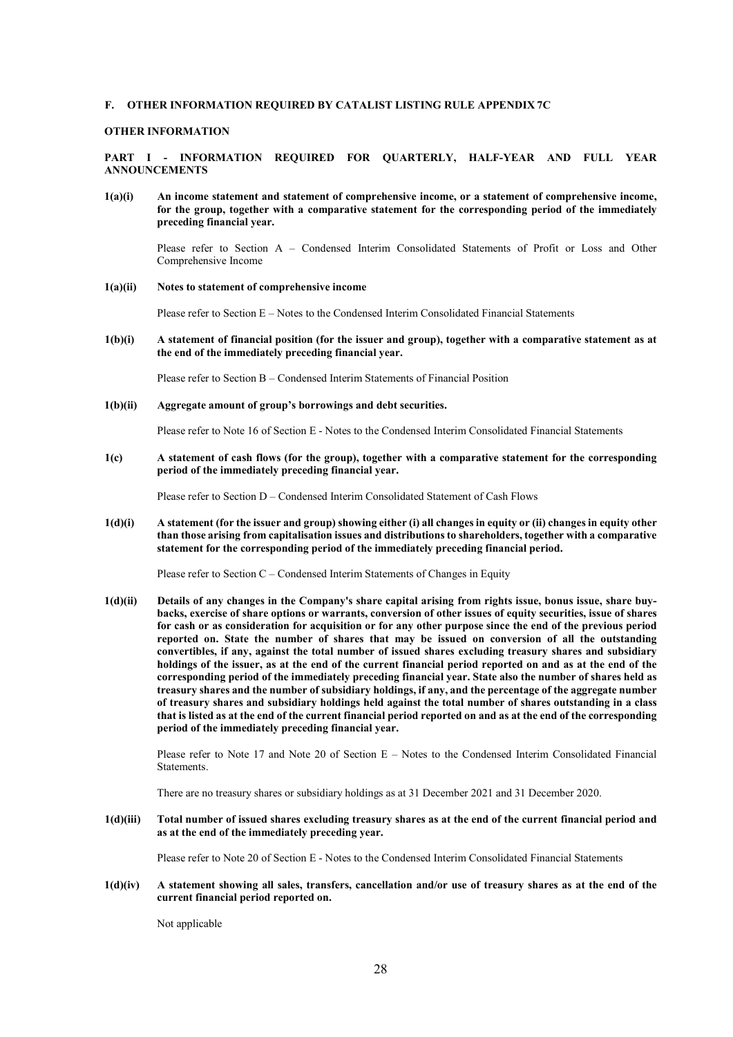## F. OTHER INFORMATION REQUIRED BY CATALIST LISTING RULE APPENDIX 7C

#### OTHER INFORMATION

PART I - INFORMATION REQUIRED FOR QUARTERLY, HALF-YEAR AND FULL YEAR ANNOUNCEMENTS

1(a)(i) An income statement and statement of comprehensive income, or a statement of comprehensive income, for the group, together with a comparative statement for the corresponding period of the immediately preceding financial year.

Please refer to Section A – Condensed Interim Consolidated Statements of Profit or Loss and Other Comprehensive Income

1(a)(ii) Notes to statement of comprehensive income

Please refer to Section E – Notes to the Condensed Interim Consolidated Financial Statements

1(b)(i) A statement of financial position (for the issuer and group), together with a comparative statement as at the end of the immediately preceding financial year.

Please refer to Section B – Condensed Interim Statements of Financial Position

1(b)(ii) Aggregate amount of group's borrowings and debt securities.

Please refer to Note 16 of Section E - Notes to the Condensed Interim Consolidated Financial Statements

1(c) A statement of cash flows (for the group), together with a comparative statement for the corresponding period of the immediately preceding financial year.

Please refer to Section D – Condensed Interim Consolidated Statement of Cash Flows

1(d)(i) A statement (for the issuer and group) showing either (i) all changes in equity or (ii) changes in equity other than those arising from capitalisation issues and distributions to shareholders, together with a comparative statement for the corresponding period of the immediately preceding financial period.

Please refer to Section C – Condensed Interim Statements of Changes in Equity

1(d)(ii) Details of any changes in the Company's share capital arising from rights issue, bonus issue, share buybacks, exercise of share options or warrants, conversion of other issues of equity securities, issue of shares for cash or as consideration for acquisition or for any other purpose since the end of the previous period reported on. State the number of shares that may be issued on conversion of all the outstanding convertibles, if any, against the total number of issued shares excluding treasury shares and subsidiary holdings of the issuer, as at the end of the current financial period reported on and as at the end of the corresponding period of the immediately preceding financial year. State also the number of shares held as treasury shares and the number of subsidiary holdings, if any, and the percentage of the aggregate number of treasury shares and subsidiary holdings held against the total number of shares outstanding in a class that is listed as at the end of the current financial period reported on and as at the end of the corresponding period of the immediately preceding financial year.

Please refer to Note 17 and Note 20 of Section E – Notes to the Condensed Interim Consolidated Financial **Statements** 

There are no treasury shares or subsidiary holdings as at 31 December 2021 and 31 December 2020.

1(d)(iii) Total number of issued shares excluding treasury shares as at the end of the current financial period and as at the end of the immediately preceding year.

Please refer to Note 20 of Section E - Notes to the Condensed Interim Consolidated Financial Statements

1(d)(iv) A statement showing all sales, transfers, cancellation and/or use of treasury shares as at the end of the current financial period reported on.

Not applicable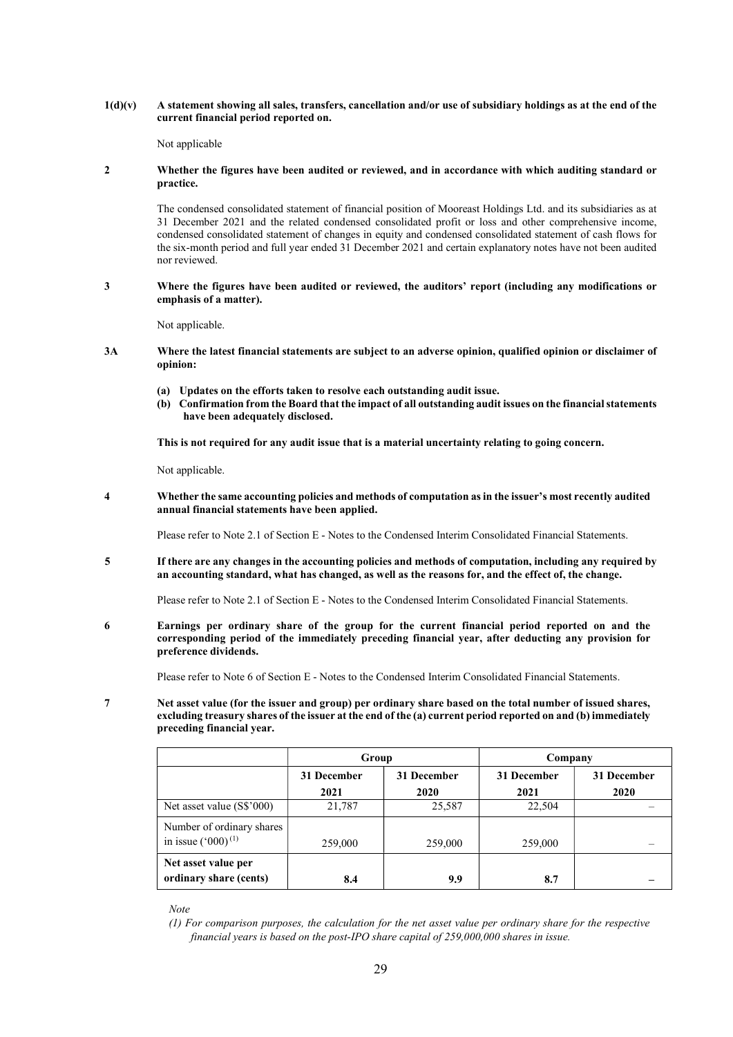$1(d)(v)$  A statement showing all sales, transfers, cancellation and/or use of subsidiary holdings as at the end of the current financial period reported on.

Not applicable

## 2 Whether the figures have been audited or reviewed, and in accordance with which auditing standard or practice.

The condensed consolidated statement of financial position of Mooreast Holdings Ltd. and its subsidiaries as at 31 December 2021 and the related condensed consolidated profit or loss and other comprehensive income, condensed consolidated statement of changes in equity and condensed consolidated statement of cash flows for the six-month period and full year ended 31 December 2021 and certain explanatory notes have not been audited nor reviewed.

#### 3 Where the figures have been audited or reviewed, the auditors' report (including any modifications or emphasis of a matter).

Not applicable.

- 3A Where the latest financial statements are subject to an adverse opinion, qualified opinion or disclaimer of opinion:
	- (a) Updates on the efforts taken to resolve each outstanding audit issue.
	- (b) Confirmation from the Board that the impact of all outstanding audit issues on the financial statements have been adequately disclosed.

This is not required for any audit issue that is a material uncertainty relating to going concern.

Not applicable.

4 Whether the same accounting policies and methods of computation as in the issuer's most recently audited annual financial statements have been applied.

Please refer to Note 2.1 of Section E - Notes to the Condensed Interim Consolidated Financial Statements.

5 If there are any changes in the accounting policies and methods of computation, including any required by an accounting standard, what has changed, as well as the reasons for, and the effect of, the change.

Please refer to Note 2.1 of Section E - Notes to the Condensed Interim Consolidated Financial Statements.

6 Earnings per ordinary share of the group for the current financial period reported on and the corresponding period of the immediately preceding financial year, after deducting any provision for preference dividends.

Please refer to Note 6 of Section E - Notes to the Condensed Interim Consolidated Financial Statements.

7 Net asset value (for the issuer and group) per ordinary share based on the total number of issued shares, excluding treasury shares of the issuer at the end of the (a) current period reported on and (b) immediately preceding financial year.

|                                                             | Group                      |         | Company     |             |
|-------------------------------------------------------------|----------------------------|---------|-------------|-------------|
|                                                             | 31 December<br>31 December |         | 31 December | 31 December |
|                                                             | 2021                       | 2020    | 2021        | 2020        |
| Net asset value (S\$'000)                                   | 21,787                     | 25,587  | 22,504      |             |
| Number of ordinary shares<br>in issue $(^{\circ}000)^{(1)}$ | 259,000                    | 259,000 | 259,000     |             |
| Net asset value per<br>ordinary share (cents)               | 8.4                        | 9.9     | 8.7         |             |

Note

(1) For comparison purposes, the calculation for the net asset value per ordinary share for the respective financial years is based on the post-IPO share capital of 259,000,000 shares in issue.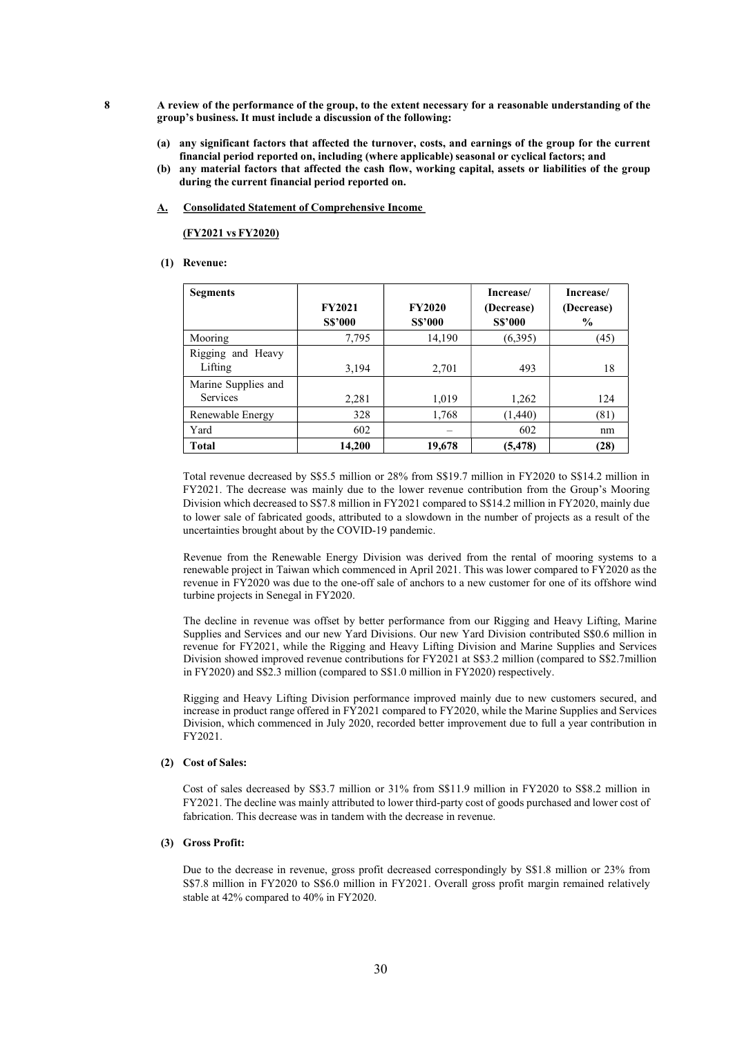- 8 A review of the performance of the group, to the extent necessary for a reasonable understanding of the group's business. It must include a discussion of the following:
	- (a) any significant factors that affected the turnover, costs, and earnings of the group for the current financial period reported on, including (where applicable) seasonal or cyclical factors; and
	- (b) any material factors that affected the cash flow, working capital, assets or liabilities of the group during the current financial period reported on.
	- A. Consolidated Statement of Comprehensive Income

(FY2021 vs FY2020)

## (1) Revenue:

| <b>Segments</b>                        | <b>FY2021</b><br><b>S\$'000</b> | <b>FY2020</b><br><b>S\$'000</b> | Increase/<br>(Decrease)<br><b>S\$'000</b> | Increase/<br>(Decrease)<br>$\frac{6}{9}$ |
|----------------------------------------|---------------------------------|---------------------------------|-------------------------------------------|------------------------------------------|
| Mooring                                | 7,795                           | 14,190                          | (6,395)                                   | (45)                                     |
| Rigging and Heavy<br>Lifting           | 3,194                           | 2,701                           | 493                                       | 18                                       |
| Marine Supplies and<br><b>Services</b> | 2,281                           | 1,019                           | 1,262                                     | 124                                      |
| Renewable Energy                       | 328                             | 1,768                           | (1,440)                                   | (81)                                     |
| Yard                                   | 602                             |                                 | 602                                       | nm                                       |
| <b>Total</b>                           | 14,200                          | 19,678                          | (5, 478)                                  | (28)                                     |

Total revenue decreased by S\$5.5 million or 28% from S\$19.7 million in FY2020 to S\$14.2 million in FY2021. The decrease was mainly due to the lower revenue contribution from the Group's Mooring Division which decreased to S\$7.8 million in FY2021 compared to S\$14.2 million in FY2020, mainly due to lower sale of fabricated goods, attributed to a slowdown in the number of projects as a result of the uncertainties brought about by the COVID-19 pandemic.

Revenue from the Renewable Energy Division was derived from the rental of mooring systems to a renewable project in Taiwan which commenced in April 2021. This was lower compared to FY2020 as the revenue in FY2020 was due to the one-off sale of anchors to a new customer for one of its offshore wind turbine projects in Senegal in FY2020.

The decline in revenue was offset by better performance from our Rigging and Heavy Lifting, Marine Supplies and Services and our new Yard Divisions. Our new Yard Division contributed S\$0.6 million in revenue for FY2021, while the Rigging and Heavy Lifting Division and Marine Supplies and Services Division showed improved revenue contributions for FY2021 at S\$3.2 million (compared to S\$2.7million in FY2020) and S\$2.3 million (compared to S\$1.0 million in FY2020) respectively.

Rigging and Heavy Lifting Division performance improved mainly due to new customers secured, and increase in product range offered in FY2021 compared to FY2020, while the Marine Supplies and Services Division, which commenced in July 2020, recorded better improvement due to full a year contribution in FY2021.

#### (2) Cost of Sales:

Cost of sales decreased by S\$3.7 million or 31% from S\$11.9 million in FY2020 to S\$8.2 million in FY2021. The decline was mainly attributed to lower third-party cost of goods purchased and lower cost of fabrication. This decrease was in tandem with the decrease in revenue.

# (3) Gross Profit:

Due to the decrease in revenue, gross profit decreased correspondingly by S\$1.8 million or 23% from S\$7.8 million in FY2020 to S\$6.0 million in FY2021. Overall gross profit margin remained relatively stable at 42% compared to 40% in FY2020.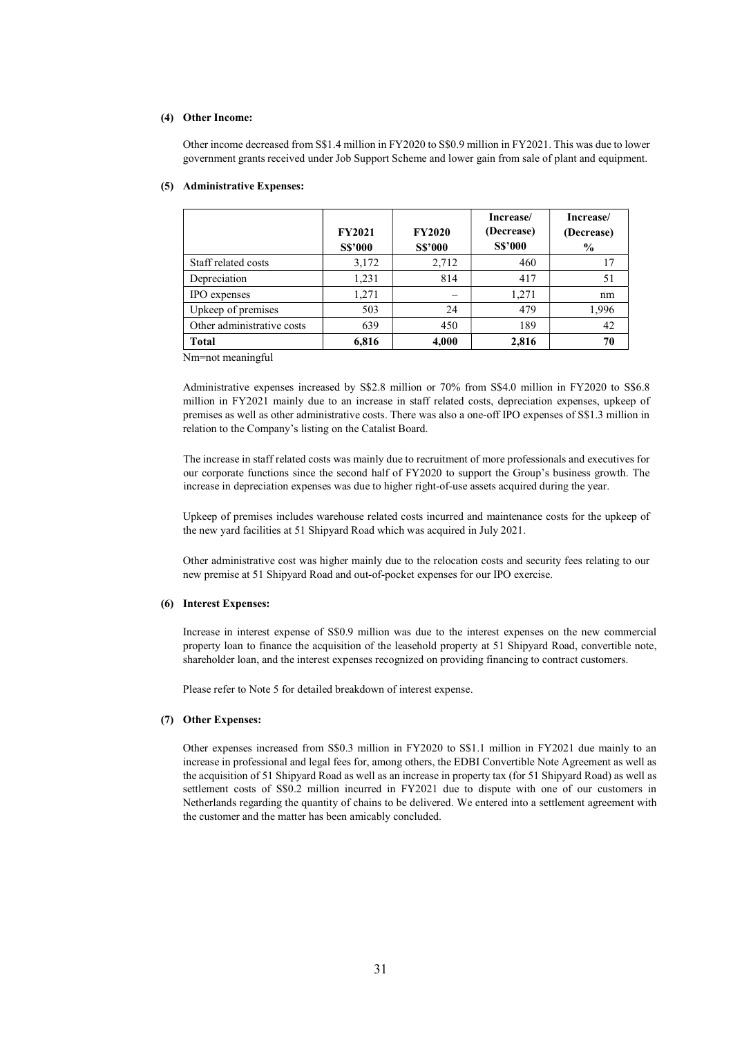### (4) Other Income:

Other income decreased from S\$1.4 million in FY2020 to S\$0.9 million in FY2021. This was due to lower government grants received under Job Support Scheme and lower gain from sale of plant and equipment.

|                            | <b>FY2021</b><br><b>S\$'000</b> | <b>FY2020</b><br><b>S\$'000</b> | Increase/<br>(Decrease)<br><b>S\$'000</b> | Increase/<br>(Decrease)<br>$\frac{6}{9}$ |
|----------------------------|---------------------------------|---------------------------------|-------------------------------------------|------------------------------------------|
| Staff related costs        | 3,172                           | 2,712                           | 460                                       | 17                                       |
| Depreciation               | 1,231                           | 814                             | 417                                       | 51                                       |
| IPO expenses               | 1,271                           |                                 | 1,271                                     | nm                                       |
| Upkeep of premises         | 503                             | 24                              | 479                                       | 1,996                                    |
| Other administrative costs | 639                             | 450                             | 189                                       | 42                                       |
| <b>Total</b>               | 6,816                           | 4,000                           | 2,816                                     | 70                                       |

## (5) Administrative Expenses:

Nm=not meaningful

Administrative expenses increased by S\$2.8 million or 70% from S\$4.0 million in FY2020 to S\$6.8 million in FY2021 mainly due to an increase in staff related costs, depreciation expenses, upkeep of premises as well as other administrative costs. There was also a one-off IPO expenses of S\$1.3 million in relation to the Company's listing on the Catalist Board.

The increase in staff related costs was mainly due to recruitment of more professionals and executives for our corporate functions since the second half of FY2020 to support the Group's business growth. The increase in depreciation expenses was due to higher right-of-use assets acquired during the year.

Upkeep of premises includes warehouse related costs incurred and maintenance costs for the upkeep of the new yard facilities at 51 Shipyard Road which was acquired in July 2021.

Other administrative cost was higher mainly due to the relocation costs and security fees relating to our new premise at 51 Shipyard Road and out-of-pocket expenses for our IPO exercise.

#### (6) Interest Expenses:

Increase in interest expense of S\$0.9 million was due to the interest expenses on the new commercial property loan to finance the acquisition of the leasehold property at 51 Shipyard Road, convertible note, shareholder loan, and the interest expenses recognized on providing financing to contract customers.

Please refer to Note 5 for detailed breakdown of interest expense.

## (7) Other Expenses:

Other expenses increased from S\$0.3 million in FY2020 to S\$1.1 million in FY2021 due mainly to an increase in professional and legal fees for, among others, the EDBI Convertible Note Agreement as well as the acquisition of 51 Shipyard Road as well as an increase in property tax (for 51 Shipyard Road) as well as settlement costs of S\$0.2 million incurred in FY2021 due to dispute with one of our customers in Netherlands regarding the quantity of chains to be delivered. We entered into a settlement agreement with the customer and the matter has been amicably concluded.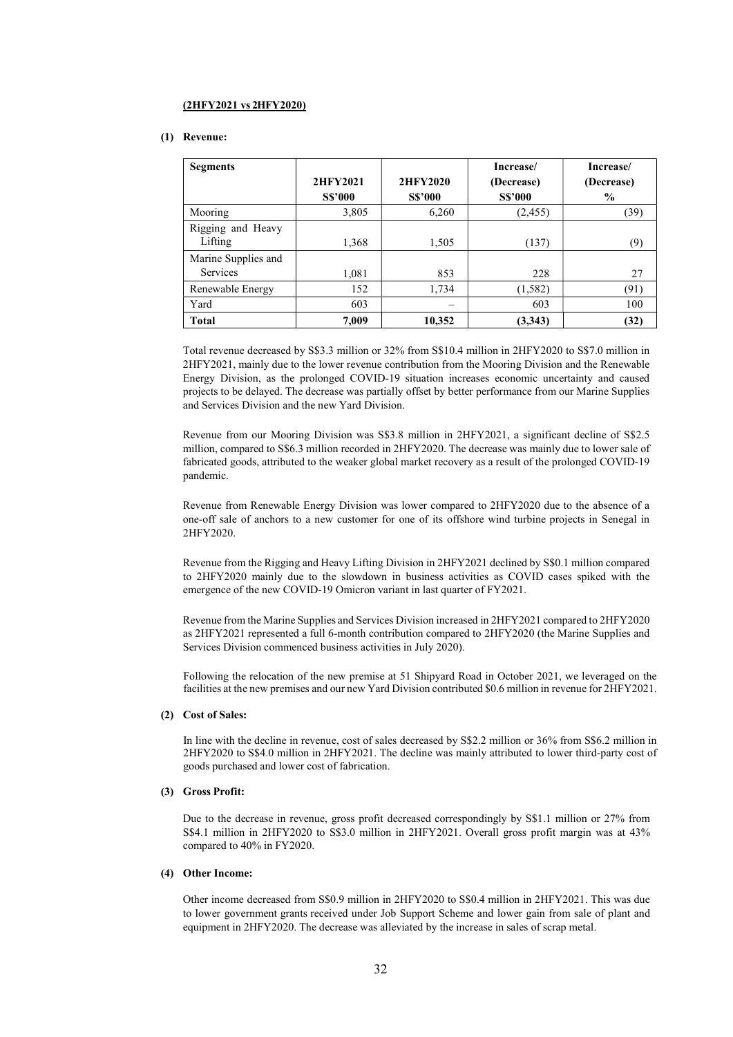## (2HFY2021 vs 2HFY2020)

#### (1) Revenue:

| <b>Segments</b>     |                |                | Increase/      | Increase/     |
|---------------------|----------------|----------------|----------------|---------------|
|                     | 2HFY2021       | 2HFY2020       | (Decrease)     | (Decrease)    |
|                     | <b>S\$'000</b> | <b>S\$'000</b> | <b>S\$'000</b> | $\frac{0}{0}$ |
| Mooring             | 3,805          | 6,260          | (2, 455)       | (39)          |
| Rigging and Heavy   |                |                |                |               |
| Lifting             | 1,368          | 1,505          | (137)          | (9)           |
| Marine Supplies and |                |                |                |               |
| <b>Services</b>     | 1,081          | 853            | 228            | 27            |
| Renewable Energy    | 152            | 1,734          | (1, 582)       | (91)          |
| Yard                | 603            |                | 603            | 100           |
| <b>Total</b>        | 7,009          | 10,352         | (3,343)        | (32)          |

Total revenue decreased by S\$3.3 million or 32% from S\$10.4 million in 2HFY2020 to S\$7.0 million in 2HFY2021, mainly due to the lower revenue contribution from the Mooring Division and the Renewable Energy Division, as the prolonged COVID-19 situation increases economic uncertainty and caused projects to be delayed. The decrease was partially offset by better performance from our Marine Supplies and Services Division and the new Yard Division.

Revenue from our Mooring Division was S\$3.8 million in 2HFY2021, a significant decline of S\$2.5 million, compared to S\$6.3 million recorded in 2HFY2020. The decrease was mainly due to lower sale of fabricated goods, attributed to the weaker global market recovery as a result of the prolonged COVID-19 pandemic.

Revenue from Renewable Energy Division was lower compared to 2HFY2020 due to the absence of a one-off sale of anchors to a new customer for one of its offshore wind turbine projects in Senegal in 2HFY2020.

Revenue from the Rigging and Heavy Lifting Division in 2HFY2021 declined by S\$0.1 million compared to 2HFY2020 mainly due to the slowdown in business activities as COVID cases spiked with the emergence of the new COVID-19 Omicron variant in last quarter of FY2021.

Revenue from the Marine Supplies and Services Division increased in 2HFY2021 compared to 2HFY2020 as 2HFY2021 represented a full 6-month contribution compared to 2HFY2020 (the Marine Supplies and Services Division commenced business activities in July 2020).

Following the relocation of the new premise at 51 Shipyard Road in October 2021, we leveraged on the facilities at the new premises and our new Yard Division contributed \$0.6 million in revenue for 2HFY2021.

#### (2) Cost of Sales:

In line with the decline in revenue, cost of sales decreased by S\$2.2 million or 36% from S\$6.2 million in 2HFY2020 to S\$4.0 million in 2HFY2021. The decline was mainly attributed to lower third-party cost of goods purchased and lower cost of fabrication.

#### (3) Gross Profit:

Due to the decrease in revenue, gross profit decreased correspondingly by S\$1.1 million or 27% from S\$4.1 million in 2HFY2020 to S\$3.0 million in 2HFY2021. Overall gross profit margin was at 43% compared to 40% in FY2020.

## (4) Other Income:

Other income decreased from S\$0.9 million in 2HFY2020 to S\$0.4 million in 2HFY2021. This was due to lower government grants received under Job Support Scheme and lower gain from sale of plant and equipment in 2HFY2020. The decrease was alleviated by the increase in sales of scrap metal.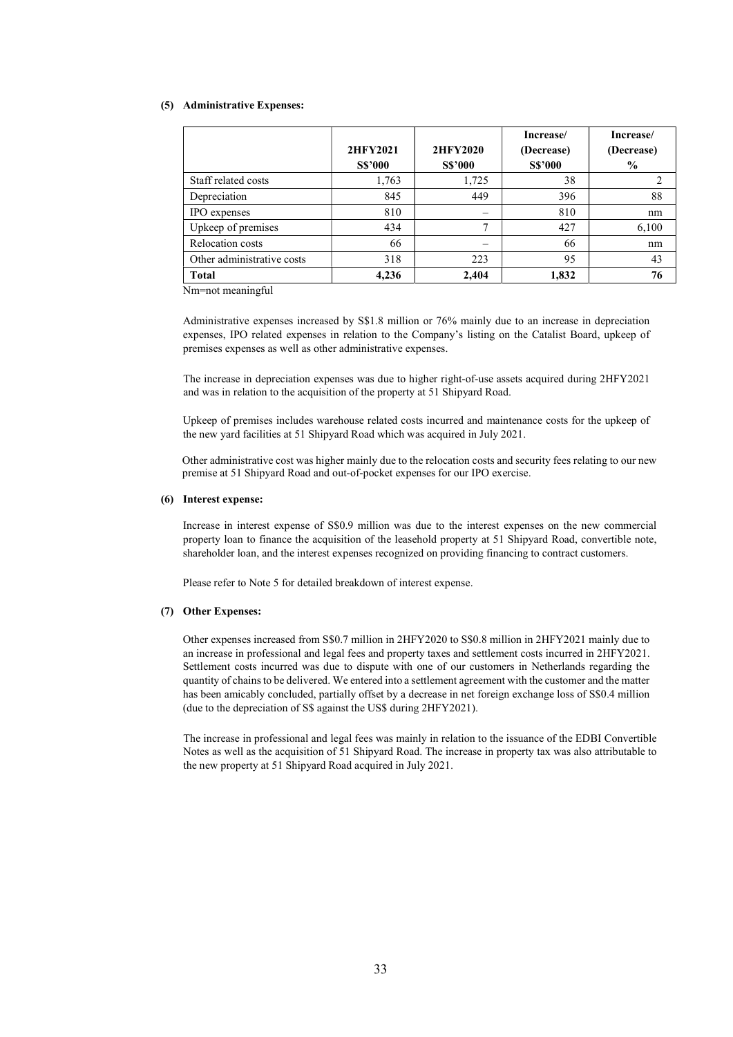#### (5) Administrative Expenses:

|                            | 2HFY2021<br><b>S\$'000</b> | <b>2HFY2020</b><br><b>S\$'000</b> | Increase/<br>(Decrease)<br><b>S\$'000</b> | Increase/<br>(Decrease)<br>$\frac{0}{0}$ |
|----------------------------|----------------------------|-----------------------------------|-------------------------------------------|------------------------------------------|
| Staff related costs        | 1,763                      | 1,725                             | 38                                        | 2                                        |
| Depreciation               | 845                        | 449                               | 396                                       | 88                                       |
| IPO expenses               | 810                        |                                   | 810                                       | nm                                       |
| Upkeep of premises         | 434                        | 7                                 | 427                                       | 6,100                                    |
| Relocation costs           | 66                         |                                   | 66                                        | nm                                       |
| Other administrative costs | 318                        | 223                               | 95                                        | 43                                       |
| <b>Total</b>               | 4,236                      | 2.404                             | 1,832                                     | 76                                       |

Nm=not meaningful

Administrative expenses increased by S\$1.8 million or 76% mainly due to an increase in depreciation expenses, IPO related expenses in relation to the Company's listing on the Catalist Board, upkeep of premises expenses as well as other administrative expenses.

The increase in depreciation expenses was due to higher right-of-use assets acquired during 2HFY2021 and was in relation to the acquisition of the property at 51 Shipyard Road.

Upkeep of premises includes warehouse related costs incurred and maintenance costs for the upkeep of the new yard facilities at 51 Shipyard Road which was acquired in July 2021.

Other administrative cost was higher mainly due to the relocation costs and security fees relating to our new premise at 51 Shipyard Road and out-of-pocket expenses for our IPO exercise.

#### (6) Interest expense:

Increase in interest expense of S\$0.9 million was due to the interest expenses on the new commercial property loan to finance the acquisition of the leasehold property at 51 Shipyard Road, convertible note, shareholder loan, and the interest expenses recognized on providing financing to contract customers.

Please refer to Note 5 for detailed breakdown of interest expense.

# (7) Other Expenses:

Other expenses increased from S\$0.7 million in 2HFY2020 to S\$0.8 million in 2HFY2021 mainly due to an increase in professional and legal fees and property taxes and settlement costs incurred in 2HFY2021. Settlement costs incurred was due to dispute with one of our customers in Netherlands regarding the quantity of chains to be delivered. We entered into a settlement agreement with the customer and the matter has been amicably concluded, partially offset by a decrease in net foreign exchange loss of S\$0.4 million (due to the depreciation of S\$ against the US\$ during 2HFY2021).

The increase in professional and legal fees was mainly in relation to the issuance of the EDBI Convertible Notes as well as the acquisition of 51 Shipyard Road. The increase in property tax was also attributable to the new property at 51 Shipyard Road acquired in July 2021.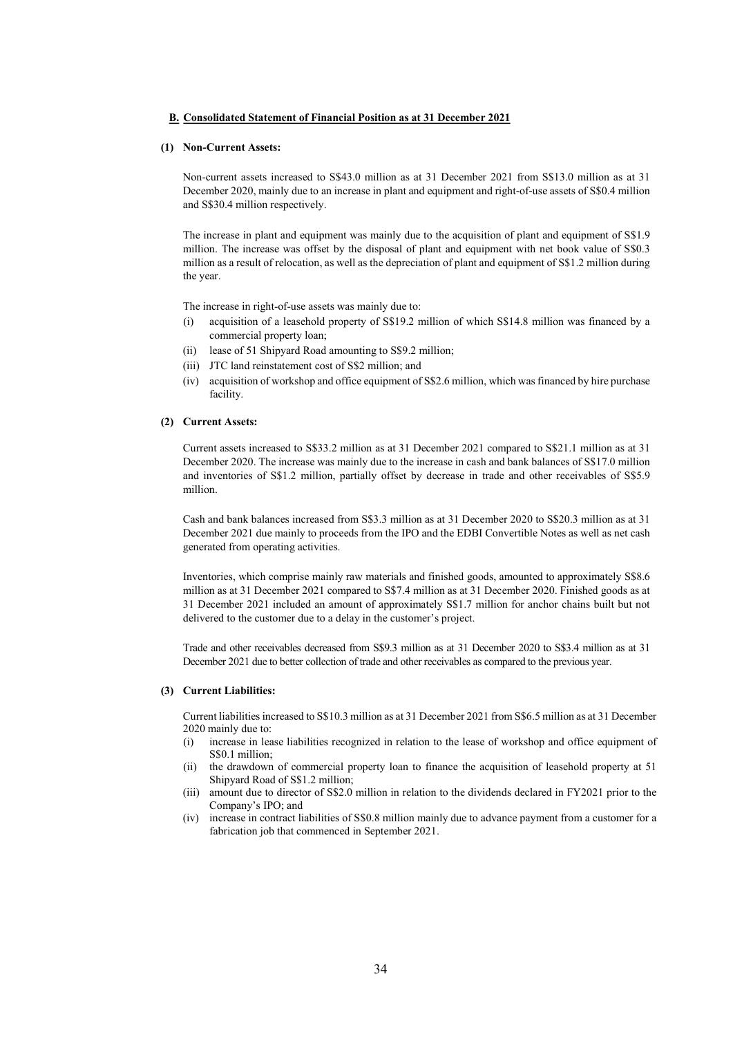#### B. Consolidated Statement of Financial Position as at 31 December 2021

#### (1) Non-Current Assets:

Non-current assets increased to S\$43.0 million as at 31 December 2021 from S\$13.0 million as at 31 December 2020, mainly due to an increase in plant and equipment and right-of-use assets of S\$0.4 million and S\$30.4 million respectively.

The increase in plant and equipment was mainly due to the acquisition of plant and equipment of S\$1.9 million. The increase was offset by the disposal of plant and equipment with net book value of S\$0.3 million as a result of relocation, as well as the depreciation of plant and equipment of S\$1.2 million during the year.

The increase in right-of-use assets was mainly due to:

- (i) acquisition of a leasehold property of S\$19.2 million of which S\$14.8 million was financed by a commercial property loan;
- (ii) lease of 51 Shipyard Road amounting to S\$9.2 million;
- (iii) JTC land reinstatement cost of S\$2 million; and
- (iv) acquisition of workshop and office equipment of S\$2.6 million, which was financed by hire purchase facility.

#### (2) Current Assets:

Current assets increased to S\$33.2 million as at 31 December 2021 compared to S\$21.1 million as at 31 December 2020. The increase was mainly due to the increase in cash and bank balances of S\$17.0 million and inventories of S\$1.2 million, partially offset by decrease in trade and other receivables of S\$5.9 million.

Cash and bank balances increased from S\$3.3 million as at 31 December 2020 to S\$20.3 million as at 31 December 2021 due mainly to proceeds from the IPO and the EDBI Convertible Notes as well as net cash generated from operating activities.

Inventories, which comprise mainly raw materials and finished goods, amounted to approximately S\$8.6 million as at 31 December 2021 compared to S\$7.4 million as at 31 December 2020. Finished goods as at 31 December 2021 included an amount of approximately S\$1.7 million for anchor chains built but not delivered to the customer due to a delay in the customer's project.

Trade and other receivables decreased from S\$9.3 million as at 31 December 2020 to S\$3.4 million as at 31 December 2021 due to better collection of trade and other receivables as compared to the previous year.

#### (3) Current Liabilities:

Current liabilities increased to S\$10.3 million as at 31 December 2021 from S\$6.5 million as at 31 December 2020 mainly due to:

- (i) increase in lease liabilities recognized in relation to the lease of workshop and office equipment of S\$0.1 million;
- (ii) the drawdown of commercial property loan to finance the acquisition of leasehold property at 51 Shipyard Road of S\$1.2 million;
- (iii) amount due to director of S\$2.0 million in relation to the dividends declared in FY2021 prior to the Company's IPO; and
- (iv) increase in contract liabilities of S\$0.8 million mainly due to advance payment from a customer for a fabrication job that commenced in September 2021.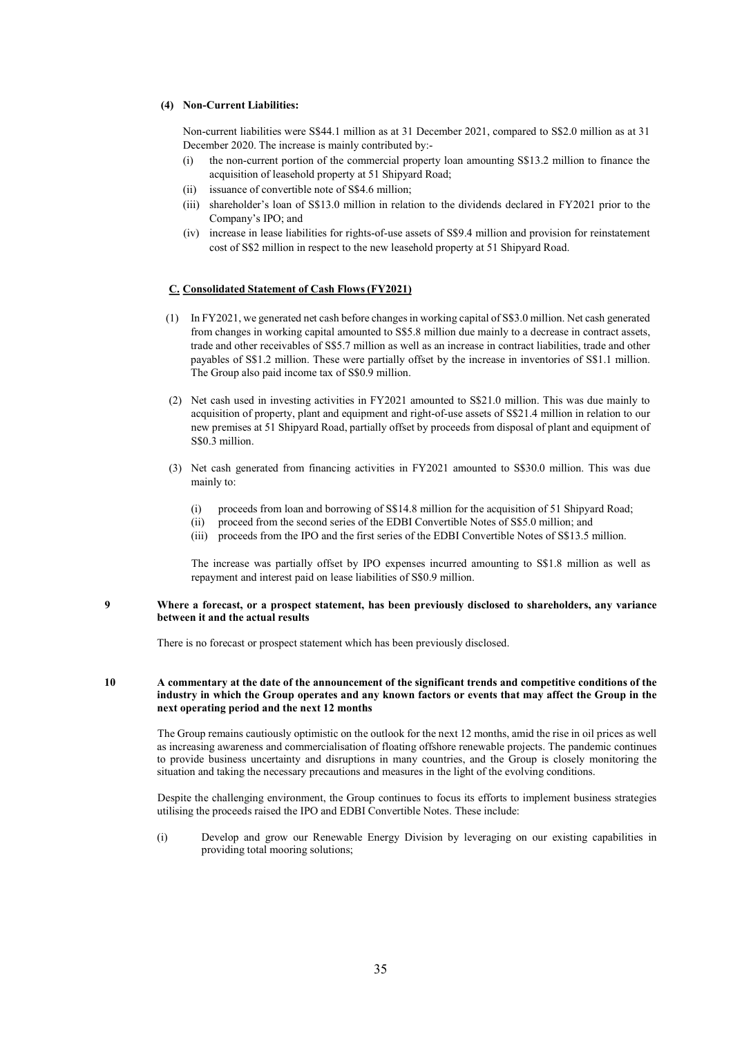# (4) Non-Current Liabilities:

Non-current liabilities were S\$44.1 million as at 31 December 2021, compared to S\$2.0 million as at 31 December 2020. The increase is mainly contributed by:-

- (i) the non-current portion of the commercial property loan amounting S\$13.2 million to finance the acquisition of leasehold property at 51 Shipyard Road;
- (ii) issuance of convertible note of S\$4.6 million;
- (iii) shareholder's loan of S\$13.0 million in relation to the dividends declared in FY2021 prior to the Company's IPO; and
- (iv) increase in lease liabilities for rights-of-use assets of S\$9.4 million and provision for reinstatement cost of S\$2 million in respect to the new leasehold property at 51 Shipyard Road.

#### C. Consolidated Statement of Cash Flows (FY2021)

- (1) In FY2021, we generated net cash before changes in working capital of S\$3.0 million. Net cash generated from changes in working capital amounted to S\$5.8 million due mainly to a decrease in contract assets, trade and other receivables of S\$5.7 million as well as an increase in contract liabilities, trade and other payables of S\$1.2 million. These were partially offset by the increase in inventories of S\$1.1 million. The Group also paid income tax of S\$0.9 million.
- (2) Net cash used in investing activities in FY2021 amounted to S\$21.0 million. This was due mainly to acquisition of property, plant and equipment and right-of-use assets of S\$21.4 million in relation to our new premises at 51 Shipyard Road, partially offset by proceeds from disposal of plant and equipment of S\$0.3 million.
- (3) Net cash generated from financing activities in FY2021 amounted to S\$30.0 million. This was due mainly to:
	- (i) proceeds from loan and borrowing of S\$14.8 million for the acquisition of 51 Shipyard Road;
	- (ii) proceed from the second series of the EDBI Convertible Notes of S\$5.0 million; and
	- (iii) proceeds from the IPO and the first series of the EDBI Convertible Notes of S\$13.5 million.

The increase was partially offset by IPO expenses incurred amounting to S\$1.8 million as well as repayment and interest paid on lease liabilities of S\$0.9 million.

#### 9 Where a forecast, or a prospect statement, has been previously disclosed to shareholders, any variance between it and the actual results

There is no forecast or prospect statement which has been previously disclosed.

## 10 A commentary at the date of the announcement of the significant trends and competitive conditions of the industry in which the Group operates and any known factors or events that may affect the Group in the next operating period and the next 12 months

 The Group remains cautiously optimistic on the outlook for the next 12 months, amid the rise in oil prices as well as increasing awareness and commercialisation of floating offshore renewable projects. The pandemic continues to provide business uncertainty and disruptions in many countries, and the Group is closely monitoring the situation and taking the necessary precautions and measures in the light of the evolving conditions.

 Despite the challenging environment, the Group continues to focus its efforts to implement business strategies utilising the proceeds raised the IPO and EDBI Convertible Notes. These include:

(i) Develop and grow our Renewable Energy Division by leveraging on our existing capabilities in providing total mooring solutions;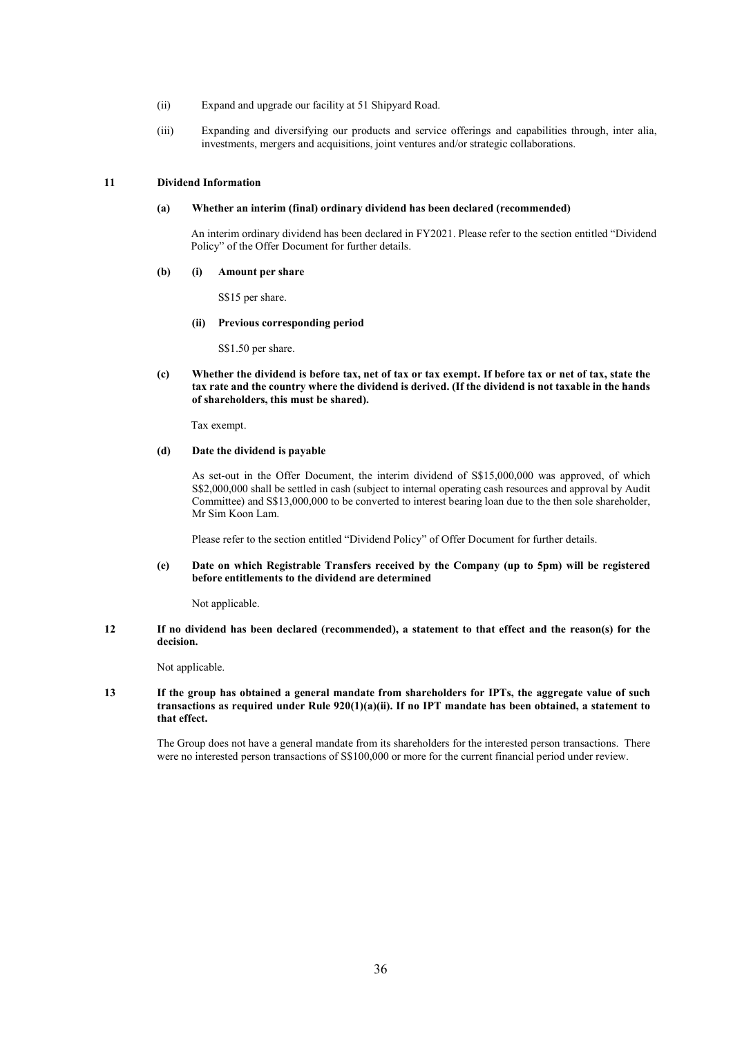- (ii) Expand and upgrade our facility at 51 Shipyard Road.
- (iii) Expanding and diversifying our products and service offerings and capabilities through, inter alia, investments, mergers and acquisitions, joint ventures and/or strategic collaborations.

#### 11 Dividend Information

## (a) Whether an interim (final) ordinary dividend has been declared (recommended)

An interim ordinary dividend has been declared in FY2021. Please refer to the section entitled "Dividend Policy" of the Offer Document for further details.

#### (b) (i) Amount per share

S\$15 per share.

#### (ii) Previous corresponding period

S\$1.50 per share.

(c) Whether the dividend is before tax, net of tax or tax exempt. If before tax or net of tax, state the tax rate and the country where the dividend is derived. (If the dividend is not taxable in the hands of shareholders, this must be shared).

Tax exempt.

# (d) Date the dividend is payable

As set-out in the Offer Document, the interim dividend of S\$15,000,000 was approved, of which S\$2,000,000 shall be settled in cash (subject to internal operating cash resources and approval by Audit Committee) and S\$13,000,000 to be converted to interest bearing loan due to the then sole shareholder, Mr Sim Koon Lam.

Please refer to the section entitled "Dividend Policy" of Offer Document for further details.

(e) Date on which Registrable Transfers received by the Company (up to 5pm) will be registered before entitlements to the dividend are determined

Not applicable.

12 If no dividend has been declared (recommended), a statement to that effect and the reason(s) for the decision.

Not applicable.

13 If the group has obtained a general mandate from shareholders for IPTs, the aggregate value of such transactions as required under Rule 920(1)(a)(ii). If no IPT mandate has been obtained, a statement to that effect.

The Group does not have a general mandate from its shareholders for the interested person transactions. There were no interested person transactions of S\$100,000 or more for the current financial period under review.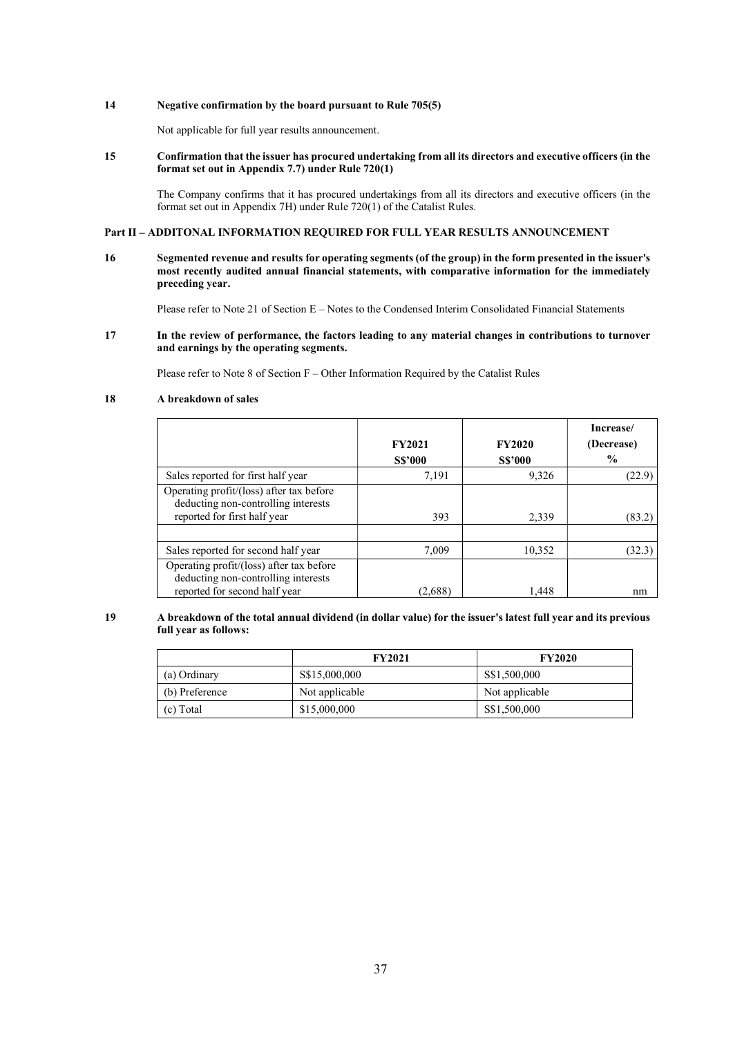# 14 Negative confirmation by the board pursuant to Rule 705(5)

Not applicable for full year results announcement.

## 15 Confirmation that the issuer has procured undertaking from all its directors and executive officers (in the format set out in Appendix 7.7) under Rule  $720(1)$

The Company confirms that it has procured undertakings from all its directors and executive officers (in the format set out in Appendix 7H) under Rule 720(1) of the Catalist Rules.

## Part II – ADDITONAL INFORMATION REQUIRED FOR FULL YEAR RESULTS ANNOUNCEMENT

16 Segmented revenue and results for operating segments (of the group) in the form presented in the issuer's most recently audited annual financial statements, with comparative information for the immediately preceding year.

Please refer to Note 21 of Section E – Notes to the Condensed Interim Consolidated Financial Statements

17 In the review of performance, the factors leading to any material changes in contributions to turnover and earnings by the operating segments.

Please refer to Note 8 of Section F – Other Information Required by the Catalist Rules

# 18 A breakdown of sales

|                                                                                                                  | <b>FY2021</b><br><b>S\$'000</b> | <b>FY2020</b><br><b>S\$'000</b> | Increase/<br>(Decrease)<br>$\frac{6}{9}$ |
|------------------------------------------------------------------------------------------------------------------|---------------------------------|---------------------------------|------------------------------------------|
| Sales reported for first half year                                                                               | 7,191                           | 9.326                           | (22.9)                                   |
| Operating profit/(loss) after tax before<br>deducting non-controlling interests<br>reported for first half year  | 393                             | 2.339                           | (83.2                                    |
|                                                                                                                  |                                 |                                 |                                          |
| Sales reported for second half year                                                                              | 7,009                           | 10,352                          | (32.3)                                   |
| Operating profit/(loss) after tax before<br>deducting non-controlling interests<br>reported for second half year | (2,688)                         | 1.448                           | nm                                       |

## 19 A breakdown of the total annual dividend (in dollar value) for the issuer's latest full year and its previous full year as follows:

|                | <b>FY2021</b>  | <b>FY2020</b>  |
|----------------|----------------|----------------|
| (a) Ordinary   | S\$15,000,000  | S\$1,500,000   |
| (b) Preference | Not applicable | Not applicable |
| (c) Total      | \$15,000,000   | S\$1,500,000   |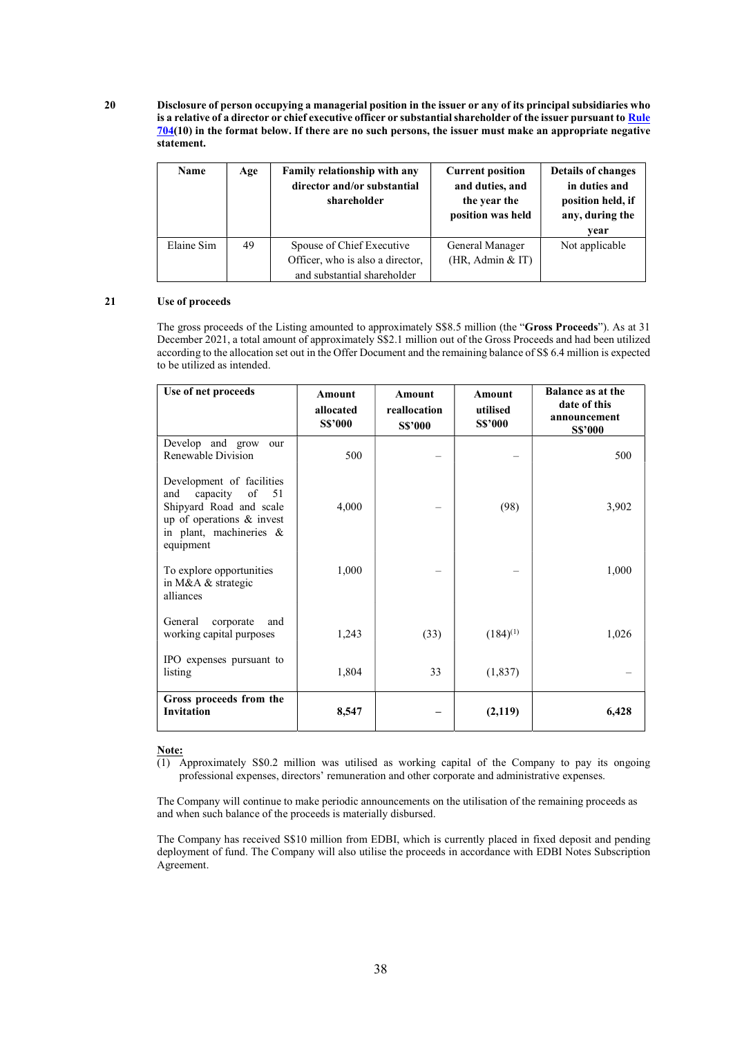20 Disclosure of person occupying a managerial position in the issuer or any of its principal subsidiaries who is a relative of a director or chief executive officer or substantial shareholder of the issuer pursuant to Rule 704(10) in the format below. If there are no such persons, the issuer must make an appropriate negative statement.

| Name       | Age | <b>Family relationship with any</b><br>director and/or substantial<br>shareholder            | <b>Current position</b><br>and duties, and<br>the year the<br>position was held | <b>Details of changes</b><br>in duties and<br>position held, if<br>any, during the<br>vear |
|------------|-----|----------------------------------------------------------------------------------------------|---------------------------------------------------------------------------------|--------------------------------------------------------------------------------------------|
| Elaine Sim | 49  | Spouse of Chief Executive<br>Officer, who is also a director,<br>and substantial shareholder | General Manager<br>(HR, Admin & IT)                                             | Not applicable                                                                             |

# 21 Use of proceeds

The gross proceeds of the Listing amounted to approximately S\$8.5 million (the "Gross Proceeds"). As at 31 December 2021, a total amount of approximately S\$2.1 million out of the Gross Proceeds and had been utilized according to the allocation set out in the Offer Document and the remaining balance of S\$ 6.4 million is expected to be utilized as intended.

| Use of net proceeds                                                                                                                                | <b>Amount</b><br>allocated<br><b>S\$'000</b> | <b>Amount</b><br>reallocation<br><b>S\$'000</b> | <b>Amount</b><br>utilised<br><b>S\$'000</b> | <b>Balance as at the</b><br>date of this<br>announcement<br><b>S\$'000</b> |
|----------------------------------------------------------------------------------------------------------------------------------------------------|----------------------------------------------|-------------------------------------------------|---------------------------------------------|----------------------------------------------------------------------------|
| Develop and grow<br>our<br>Renewable Division                                                                                                      | 500                                          |                                                 |                                             | 500                                                                        |
| Development of facilities<br>capacity of 51<br>and<br>Shipyard Road and scale<br>up of operations & invest<br>in plant, machineries &<br>equipment | 4,000                                        |                                                 | (98)                                        | 3,902                                                                      |
| To explore opportunities<br>in M&A & strategic<br>alliances                                                                                        | 1,000                                        |                                                 |                                             | 1,000                                                                      |
| General<br>corporate<br>and<br>working capital purposes                                                                                            | 1,243                                        | (33)                                            | $(184)^{(1)}$                               | 1,026                                                                      |
| IPO expenses pursuant to<br>listing                                                                                                                | 1,804                                        | 33                                              | (1, 837)                                    |                                                                            |
| Gross proceeds from the<br>Invitation                                                                                                              | 8,547                                        |                                                 | (2,119)                                     | 6,428                                                                      |

#### Note:

(1) Approximately S\$0.2 million was utilised as working capital of the Company to pay its ongoing professional expenses, directors' remuneration and other corporate and administrative expenses.

The Company will continue to make periodic announcements on the utilisation of the remaining proceeds as and when such balance of the proceeds is materially disbursed.

The Company has received S\$10 million from EDBI, which is currently placed in fixed deposit and pending deployment of fund. The Company will also utilise the proceeds in accordance with EDBI Notes Subscription Agreement.